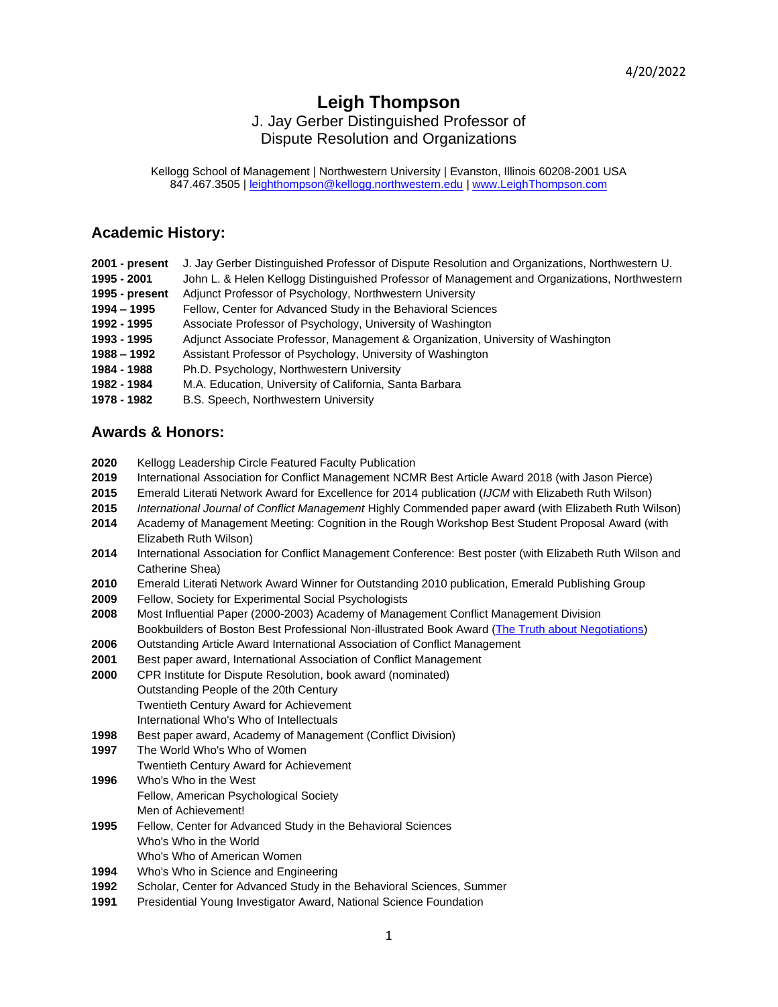# **Leigh Thompson**

# J. Jay Gerber Distinguished Professor of Dispute Resolution and Organizations

Kellogg School of Management | Northwestern University | Evanston, Illinois 60208-2001 USA 847.467.3505 | [leighthompson@kellogg.northwestern.edu](mailto:leighthompson@kellogg.northwestern.edu) | [www.LeighThompson.com](http://www.leighthompson.com/)

# **Academic History:**

| 2001 - present | J. Jay Gerber Distinguished Professor of Dispute Resolution and Organizations, Northwestern U. |
|----------------|------------------------------------------------------------------------------------------------|
| 1995 - 2001    | John L. & Helen Kellogg Distinguished Professor of Management and Organizations, Northwestern  |
| 1995 - present | Adjunct Professor of Psychology, Northwestern University                                       |
| 1994 - 1995    | Fellow, Center for Advanced Study in the Behavioral Sciences                                   |
| 1992 - 1995    | Associate Professor of Psychology, University of Washington                                    |
| 1993 - 1995    | Adjunct Associate Professor, Management & Organization, University of Washington               |
| 1988 - 1992    | Assistant Professor of Psychology, University of Washington                                    |
| 1984 - 1988    | Ph.D. Psychology, Northwestern University                                                      |
| 1982 - 1984    | M.A. Education, University of California, Santa Barbara                                        |
| 1978 - 1982    | B.S. Speech, Northwestern University                                                           |

# **Awards & Honors:**

- **2020** Kellogg Leadership Circle Featured Faculty Publication
- **2019** International Association for Conflict Management NCMR Best Article Award 2018 (with Jason Pierce)
- **2015** Emerald Literati Network Award for Excellence for 2014 publication (*IJCM* with Elizabeth Ruth Wilson)
- **2015** *International Journal of Conflict Management* Highly Commended paper award (with Elizabeth Ruth Wilson)
- **2014** Academy of Management Meeting: Cognition in the Rough Workshop Best Student Proposal Award (with Elizabeth Ruth Wilson)
- **2014** International Association for Conflict Management Conference: Best poster (with Elizabeth Ruth Wilson and Catherine Shea)
- **2010** Emerald Literati Network Award Winner for Outstanding 2010 publication, Emerald Publishing Group
- **2009** Fellow, Society for Experimental Social Psychologists
- **2008** Most Influential Paper (2000-2003) Academy of Management Conflict Management Division Bookbuilders of Boston Best Professional Non-illustrated Book Award [\(The Truth about Negotiations\)](http://www.leighthompson.com/index.php/about/curriculum-vitae/9-books/the-truth-about-negotiations/2-table-of-contents)
- **2006** Outstanding Article Award International Association of Conflict Management
- **2001** Best paper award, International Association of Conflict Management
- **2000** CPR Institute for Dispute Resolution, book award (nominated) Outstanding People of the 20th Century Twentieth Century Award for Achievement International Who's Who of Intellectuals
- **1998** Best paper award, Academy of Management (Conflict Division)
- **1997** The World Who's Who of Women
- Twentieth Century Award for Achievement
- **1996** Who's Who in the West Fellow, American Psychological Society Men of Achievement!
- **1995** Fellow, Center for Advanced Study in the Behavioral Sciences Who's Who in the World
- Who's Who of American Women
- **1994** Who's Who in Science and Engineering
- **1992** Scholar, Center for Advanced Study in the Behavioral Sciences, Summer
- **1991** Presidential Young Investigator Award, National Science Foundation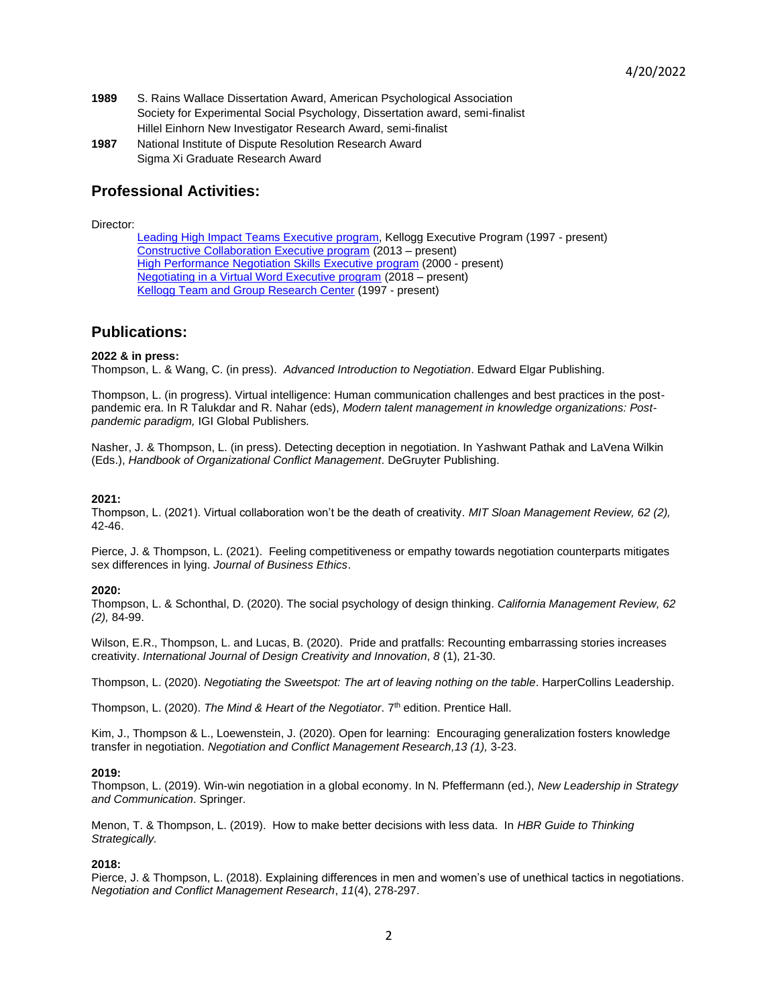- **1989** S. Rains Wallace Dissertation Award, American Psychological Association Society for Experimental Social Psychology, Dissertation award, semi-finalist Hillel Einhorn New Investigator Research Award, semi-finalist
- **1987** National Institute of Dispute Resolution Research Award Sigma Xi Graduate Research Award

# **Professional Activities:**

Director:

[Leading High Impact Teams Executive program,](https://www.kellogg.northwestern.edu/executive-education/individual-programs/executive-programs/team.aspx) Kellogg Executive Program (1997 - present) [Constructive Collaboration Executive program](http://www.kellogg.northwestern.edu/executive-education/individual-programs/executive-programs/collaborate.aspx) (2013 – present) **[High Performance Negotiation Skills Executive program](http://www.kellogg.northwestern.edu/executive-education/individual-programs/executive-programs/neg.aspx) (2000 - present)** [Negotiating in a Virtual Word Executive program](https://www.kellogg.northwestern.edu/executive-education/individual-programs/online-programs/nvw.aspx) (2018 – present[\)](http://www.kellogg.northwestern.edu/executive-education/individual-programs/executive-programs/nwc.aspx) **[Kellogg Team and Group Research Center](http://www.kellogg.northwestern.edu/research/ktag/) (1997 - present)** 

# **Publications:**

#### **2022 & in press:**

Thompson, L. & Wang, C. (in press). *Advanced Introduction to Negotiation*. Edward Elgar Publishing.

Thompson, L. (in progress). Virtual intelligence: Human communication challenges and best practices in the postpandemic era. In R Talukdar and R. Nahar (eds), *Modern talent management in knowledge organizations: Postpandemic paradigm,* IGI Global Publishers*.*

Nasher, J. & Thompson, L. (in press). Detecting deception in negotiation. In Yashwant Pathak and LaVena Wilkin (Eds.), *Handbook of Organizational Conflict Management*. DeGruyter Publishing.

#### **2021:**

Thompson, L. (2021). Virtual collaboration won't be the death of creativity. *MIT Sloan Management Review, 62 (2),* 42-46.

Pierce, J. & Thompson, L. (2021). Feeling competitiveness or empathy towards negotiation counterparts mitigates sex differences in lying. *Journal of Business Ethics*.

#### **2020:**

Thompson, L. & Schonthal, D. (2020). The social psychology of design thinking. *California Management Review, 62 (2),* 84-99.

Wilson, E.R., Thompson, L. and Lucas, B. (2020). Pride and pratfalls: Recounting embarrassing stories increases creativity. *International Journal of Design Creativity and Innovation*, *8* (1), 21-30.

Thompson, L. (2020). *Negotiating the Sweetspot: The art of leaving nothing on the table*. HarperCollins Leadership.

Thompson, L. (2020). *The Mind & Heart of the Negotiator*. 7<sup>th</sup> edition. Prentice Hall.

Kim, J., Thompson & L., Loewenstein, J. (2020). Open for learning: Encouraging generalization fosters knowledge transfer in negotiation. *Negotiation and Conflict Management Research,13 (1),* 3-23.

#### **2019:**

Thompson, L. (2019). Win-win negotiation in a global economy. In N. Pfeffermann (ed.), *New Leadership in Strategy and Communication*. Springer.

Menon, T. & Thompson, L. (2019). How to make better decisions with less data. In *HBR Guide to Thinking Strategically.* 

#### **2018:**

Pierce, J. & Thompson, L. (2018). Explaining differences in men and women's use of unethical tactics in negotiations. *Negotiation and Conflict Management Research*, *11*(4), 278-297.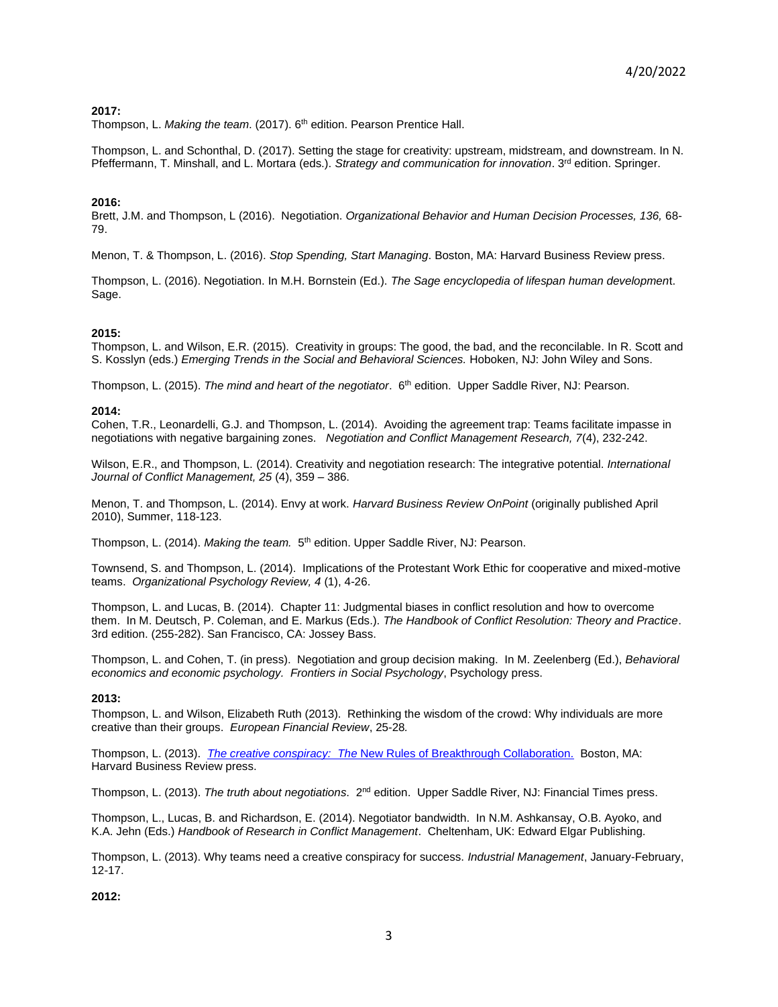### **2017:**

Thompson, L. Making the team. (2017). 6<sup>th</sup> edition. Pearson Prentice Hall.

Thompson, L. and Schonthal, D. (2017). Setting the stage for creativity: upstream, midstream, and downstream. In N. Pfeffermann, T. Minshall, and L. Mortara (eds.). *Strategy and communication for innovation*. 3<sup>rd</sup> edition. Springer.

#### **2016:**

Brett, J.M. and Thompson, L (2016). Negotiation. *Organizational Behavior and Human Decision Processes, 136,* 68- 79.

Menon, T. & Thompson, L. (2016). *Stop Spending, Start Managing*. Boston, MA: Harvard Business Review press.

Thompson, L. (2016). Negotiation. In M.H. Bornstein (Ed.). *The Sage encyclopedia of lifespan human developmen*t. Sage.

#### **2015:**

Thompson, L. and Wilson, E.R. (2015). Creativity in groups: The good, the bad, and the reconcilable. In R. Scott and S. Kosslyn (eds.) *Emerging Trends in the Social and Behavioral Sciences.* Hoboken, NJ: John Wiley and Sons.

Thompson, L. (2015). *The mind and heart of the negotiator*. 6<sup>th</sup> edition. Upper Saddle River, NJ: Pearson.

#### **2014:**

Cohen, T.R., Leonardelli, G.J. and Thompson, L. (2014). Avoiding the agreement trap: Teams facilitate impasse in negotiations with negative bargaining zones. *Negotiation and Conflict Management Research, 7*(4), 232-242.

Wilson, E.R., and Thompson, L. (2014). Creativity and negotiation research: The integrative potential. *International Journal of Conflict Management, 25* (4), 359 – 386.

Menon, T. and Thompson, L. (2014). Envy at work. *Harvard Business Review OnPoint* (originally published April 2010), Summer, 118-123.

Thompson, L. (2014). *Making the team.* 5<sup>th</sup> edition. Upper Saddle River, NJ: Pearson.

Townsend, S. and Thompson, L. (2014). Implications of the Protestant Work Ethic for cooperative and mixed-motive teams. *Organizational Psychology Review, 4* (1), 4-26.

Thompson, L. and Lucas, B. (2014). Chapter 11: Judgmental biases in conflict resolution and how to overcome them. In M. Deutsch, P. Coleman, and E. Markus (Eds.). *The Handbook of Conflict Resolution: Theory and Practice*. 3rd edition. (255-282). San Francisco, CA: Jossey Bass.

Thompson, L. and Cohen, T. (in press). Negotiation and group decision making. In M. Zeelenberg (Ed.), *Behavioral economics and economic psychology. Frontiers in Social Psychology*, Psychology press.

#### **2013:**

Thompson, L. and Wilson, Elizabeth Ruth (2013). Rethinking the wisdom of the crowd: Why individuals are more creative than their groups. *European Financial Review*, 25-28*.*

Thompson, L. (2013). *[The creative conspiracy: The](http://www.amazon.com/Creative-Conspiracy-Rules-Breakthrough-Collaboration/dp/1422173348)* New Rules of Breakthrough Collaboration. Boston, MA: Harvard Business Review press.

Thompson, L. (2013). The truth about negotiations. 2<sup>nd</sup> edition. Upper Saddle River, NJ: Financial Times press.

Thompson, L., Lucas, B. and Richardson, E. (2014). Negotiator bandwidth. In N.M. Ashkansay, O.B. Ayoko, and K.A. Jehn (Eds.) *Handbook of Research in Conflict Management*. Cheltenham, UK: Edward Elgar Publishing.

Thompson, L. (2013). Why teams need a creative conspiracy for success. *Industrial Management*, January-February, 12-17.

#### **2012:**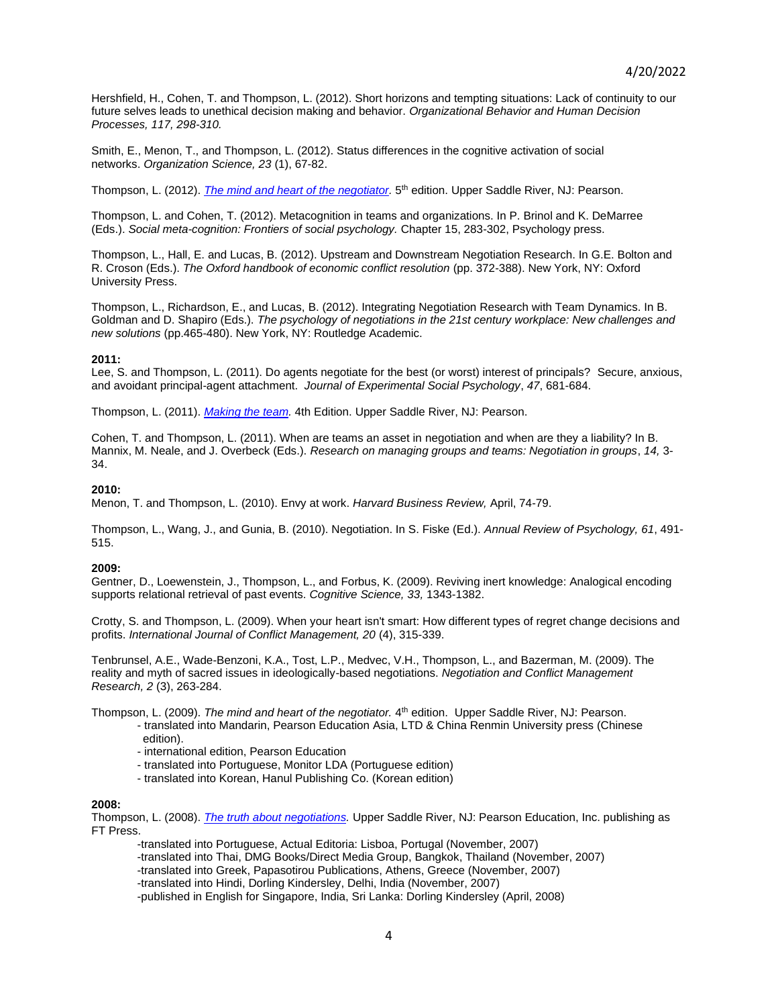Hershfield, H., Cohen, T. and Thompson, L. (2012). Short horizons and tempting situations: Lack of continuity to our future selves leads to unethical decision making and behavior. *Organizational Behavior and Human Decision Processes, 117, 298-310.*

Smith, E., Menon, T., and Thompson, L. (2012). Status differences in the cognitive activation of social networks. *Organization Science, 23* (1), 67-82.

Thompson, L. (2012). *The mind and heart of the negotiator*. 5<sup>th</sup> edition. Upper Saddle River, NJ: Pearson.

Thompson, L. and Cohen, T. (2012). Metacognition in teams and organizations. In P. Brinol and K. DeMarree (Eds.). *Social meta-cognition: Frontiers of social psychology.* Chapter 15, 283-302, Psychology press.

Thompson, L., Hall, E. and Lucas, B. (2012). Upstream and Downstream Negotiation Research. In G.E. Bolton and R. Croson (Eds.). *The Oxford handbook of economic conflict resolution* (pp. 372-388). New York, NY: Oxford University Press.

Thompson, L., Richardson, E., and Lucas, B. (2012). Integrating Negotiation Research with Team Dynamics. In B. Goldman and D. Shapiro (Eds.). *The psychology of negotiations in the 21st century workplace: New challenges and new solutions* (pp.465-480). New York, NY: Routledge Academic.

#### **2011:**

Lee, S. and Thompson, L. (2011). Do agents negotiate for the best (or worst) interest of principals? Secure, anxious, and avoidant principal-agent attachment. *Journal of Experimental Social Psychology*, *47*, 681-684.

Thompson, L. (2011). *[Making the team.](http://www.amazon.com/Making-Team-4th-Leigh-Thompson/dp/0136090036/ref=sr_1_1?s=books&ie=UTF8&qid=1367534364&sr=1-1)* 4th Edition. Upper Saddle River, NJ: Pearson.

Cohen, T. and Thompson, L. (2011). When are teams an asset in negotiation and when are they a liability? In B. Mannix, M. Neale, and J. Overbeck (Eds.). *Research on managing groups and teams: Negotiation in groups*, *14,* 3- 34.

#### **2010:**

Menon, T. and Thompson, L. (2010). Envy at work. *Harvard Business Review,* April, 74-79.

Thompson, L., Wang, J., and Gunia, B. (2010). Negotiation. In S. Fiske (Ed.). *Annual Review of Psychology, 61*, 491- 515.

#### **2009:**

Gentner, D., Loewenstein, J., Thompson, L., and Forbus, K. (2009). Reviving inert knowledge: Analogical encoding supports relational retrieval of past events. *Cognitive Science, 33,* 1343-1382.

Crotty, S. and Thompson, L. (2009). When your heart isn't smart: How different types of regret change decisions and profits. *International Journal of Conflict Management, 20* (4), 315-339.

Tenbrunsel, A.E., Wade-Benzoni, K.A., Tost, L.P., Medvec, V.H., Thompson, L., and Bazerman, M. (2009). The reality and myth of sacred issues in ideologically-based negotiations. *Negotiation and Conflict Management Research, 2* (3), 263-284.

Thompson, L. (2009). *The mind and heart of the negotiator.* 4 th edition. Upper Saddle River, NJ: Pearson.

- translated into Mandarin, Pearson Education Asia, LTD & China Renmin University press (Chinese
	- edition).
	- international edition, Pearson Education
	- translated into Portuguese, Monitor LDA (Portuguese edition)
	- translated into Korean, Hanul Publishing Co. (Korean edition)

#### **2008:**

Thompson, L. (2008). *[The truth about negotiations.](http://www.amazon.com/Truth-About-Negotiations-Leigh-Thompson/dp/0136007368/ref=sr_1_6?s=books&ie=UTF8&qid=1367534364&sr=1-6)* Upper Saddle River, NJ: Pearson Education, Inc. publishing as FT Press.

-translated into Portuguese, Actual Editoria: Lisboa, Portugal (November, 2007)

- -translated into Thai, DMG Books/Direct Media Group, Bangkok, Thailand (November, 2007)
- -translated into Greek, Papasotirou Publications, Athens, Greece (November, 2007)
- -translated into Hindi, Dorling Kindersley, Delhi, India (November, 2007)

-published in English for Singapore, India, Sri Lanka: Dorling Kindersley (April, 2008)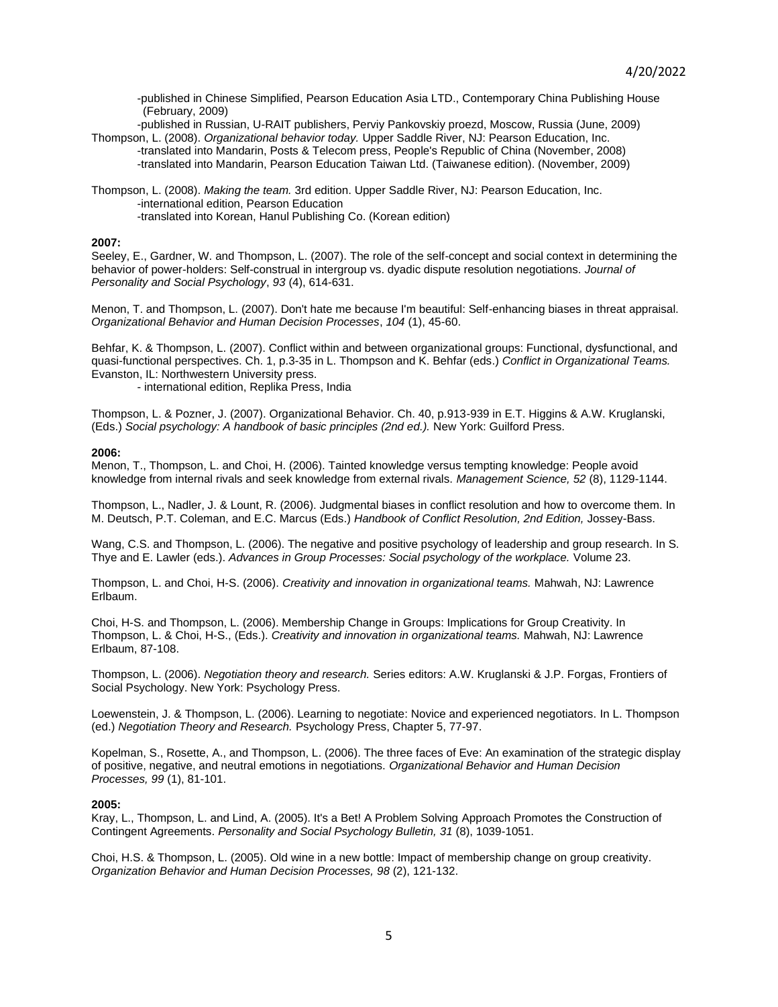-published in Chinese Simplified, Pearson Education Asia LTD., Contemporary China Publishing House (February, 2009)

-published in Russian, U-RAIT publishers, Perviy Pankovskiy proezd, Moscow, Russia (June, 2009) Thompson, L. (2008). *Organizational behavior today.* Upper Saddle River, NJ: Pearson Education, Inc. -translated into Mandarin, Posts & Telecom press, People's Republic of China (November, 2008)

-translated into Mandarin, Pearson Education Taiwan Ltd. (Taiwanese edition). (November, 2009)

Thompson, L. (2008). *Making the team.* 3rd edition. Upper Saddle River, NJ: Pearson Education, Inc. -international edition, Pearson Education -translated into Korean, Hanul Publishing Co. (Korean edition)

#### **2007:**

Seeley, E., Gardner, W. and Thompson, L. (2007). The role of the self-concept and social context in determining the behavior of power-holders: Self-construal in intergroup vs. dyadic dispute resolution negotiations. *Journal of Personality and Social Psychology*, *93* (4), 614-631.

Menon, T. and Thompson, L. (2007). Don't hate me because I'm beautiful: Self-enhancing biases in threat appraisal. *Organizational Behavior and Human Decision Processes*, *104* (1), 45-60.

Behfar, K. & Thompson, L. (2007). Conflict within and between organizational groups: Functional, dysfunctional, and quasi-functional perspectives. Ch. 1, p.3-35 in L. Thompson and K. Behfar (eds.) *Conflict in Organizational Teams.* Evanston, IL: Northwestern University press.

- international edition, Replika Press, India

Thompson, L. & Pozner, J. (2007). Organizational Behavior. Ch. 40, p.913-939 in E.T. Higgins & A.W. Kruglanski, (Eds.) *Social psychology: A handbook of basic principles (2nd ed.).* New York: Guilford Press.

#### **2006:**

Menon, T., Thompson, L. and Choi, H. (2006). Tainted knowledge versus tempting knowledge: People avoid knowledge from internal rivals and seek knowledge from external rivals. *Management Science, 52* (8), 1129-1144.

Thompson, L., Nadler, J. & Lount, R. (2006). Judgmental biases in conflict resolution and how to overcome them. In M. Deutsch, P.T. Coleman, and E.C. Marcus (Eds.) *Handbook of Conflict Resolution, 2nd Edition,* Jossey-Bass.

Wang, C.S. and Thompson, L. (2006). The negative and positive psychology of leadership and group research. In S. Thye and E. Lawler (eds.). *Advances in Group Processes: Social psychology of the workplace.* Volume 23.

Thompson, L. and Choi, H-S. (2006). *Creativity and innovation in organizational teams.* Mahwah, NJ: Lawrence Erlbaum.

Choi, H-S. and Thompson, L. (2006). Membership Change in Groups: Implications for Group Creativity. In Thompson, L. & Choi, H-S., (Eds.). *Creativity and innovation in organizational teams.* Mahwah, NJ: Lawrence Erlbaum, 87-108.

Thompson, L. (2006). *Negotiation theory and research.* Series editors: A.W. Kruglanski & J.P. Forgas, Frontiers of Social Psychology. New York: Psychology Press.

Loewenstein, J. & Thompson, L. (2006). Learning to negotiate: Novice and experienced negotiators. In L. Thompson (ed.) *Negotiation Theory and Research.* Psychology Press, Chapter 5, 77-97.

Kopelman, S., Rosette, A., and Thompson, L. (2006). The three faces of Eve: An examination of the strategic display of positive, negative, and neutral emotions in negotiations. *Organizational Behavior and Human Decision Processes, 99* (1), 81-101.

#### **2005:**

Kray, L., Thompson, L. and Lind, A. (2005). It's a Bet! A Problem Solving Approach Promotes the Construction of Contingent Agreements. *Personality and Social Psychology Bulletin, 31* (8), 1039-1051.

Choi, H.S. & Thompson, L. (2005). Old wine in a new bottle: Impact of membership change on group creativity. *Organization Behavior and Human Decision Processes, 98* (2), 121-132.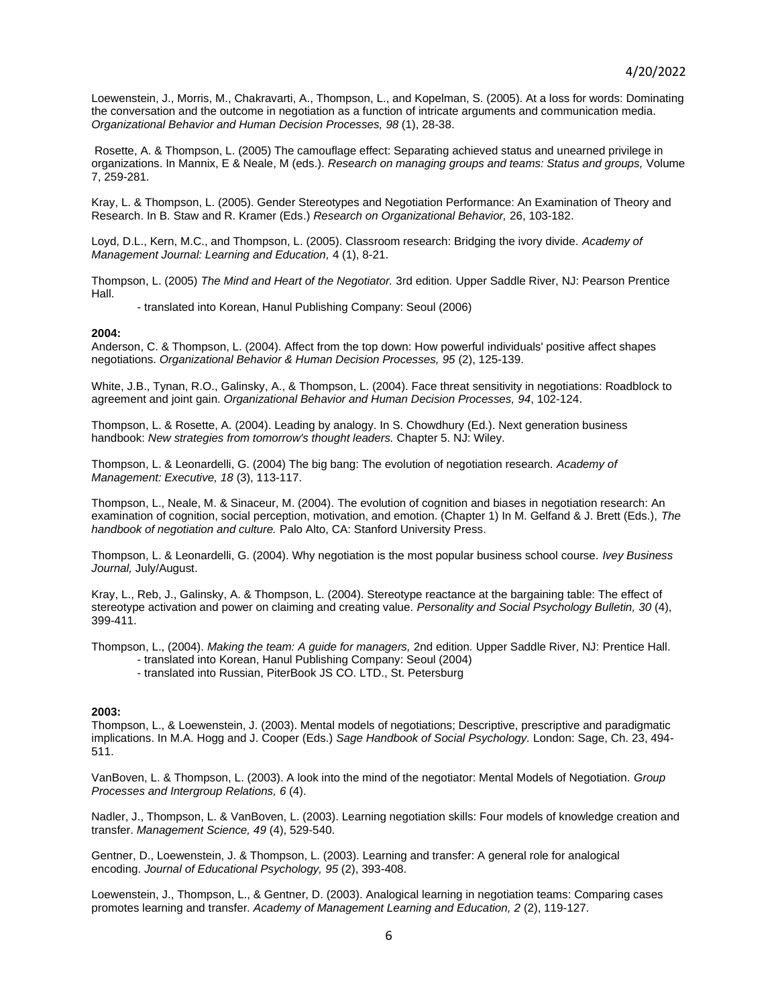Loewenstein, J., Morris, M., Chakravarti, A., Thompson, L., and Kopelman, S. (2005). At a loss for words: Dominating the conversation and the outcome in negotiation as a function of intricate arguments and communication media. *Organizational Behavior and Human Decision Processes, 98* (1), 28-38.

Rosette, A. & Thompson, L. (2005) The camouflage effect: Separating achieved status and unearned privilege in organizations. In Mannix, E & Neale, M (eds.). *Research on managing groups and teams: Status and groups,* Volume 7, 259-281.

Kray, L. & Thompson, L. (2005). Gender Stereotypes and Negotiation Performance: An Examination of Theory and Research. In B. Staw and R. Kramer (Eds.) *Research on Organizational Behavior,* 26, 103-182.

Loyd, D.L., Kern, M.C., and Thompson, L. (2005). Classroom research: Bridging the ivory divide. *Academy of Management Journal: Learning and Education,* 4 (1), 8-21.

Thompson, L. (2005) *The Mind and Heart of the Negotiator.* 3rd edition*.* Upper Saddle River, NJ: Pearson Prentice Hall.

- translated into Korean, Hanul Publishing Company: Seoul (2006)

#### **2004:**

Anderson, C. & Thompson, L. (2004). Affect from the top down: How powerful individuals' positive affect shapes negotiations. *Organizational Behavior & Human Decision Processes, 95* (2), 125-139.

White, J.B., Tynan, R.O., Galinsky, A., & Thompson, L. (2004). Face threat sensitivity in negotiations: Roadblock to agreement and joint gain. *Organizational Behavior and Human Decision Processes, 94*, 102-124.

Thompson, L. & Rosette, A. (2004). Leading by analogy. In S. Chowdhury (Ed.). Next generation business handbook: *New strategies from tomorrow's thought leaders.* Chapter 5. NJ: Wiley.

Thompson, L. & Leonardelli, G. (2004) The big bang: The evolution of negotiation research. *Academy of Management: Executive, 18* (3), 113-117.

Thompson, L., Neale, M. & Sinaceur, M. (2004). The evolution of cognition and biases in negotiation research: An examination of cognition, social perception, motivation, and emotion. (Chapter 1) In M. Gelfand & J. Brett (Eds.), *The handbook of negotiation and culture.* Palo Alto, CA: Stanford University Press.

Thompson, L. & Leonardelli, G. (2004). Why negotiation is the most popular business school course. *Ivey Business Journal,* July/August.

Kray, L., Reb, J., Galinsky, A. & Thompson, L. (2004). Stereotype reactance at the bargaining table: The effect of stereotype activation and power on claiming and creating value. *Personality and Social Psychology Bulletin, 30* (4), 399-411.

Thompson, L., (2004). *Making the team: A guide for managers,* 2nd edition*.* Upper Saddle River, NJ: Prentice Hall. - translated into Korean, Hanul Publishing Company: Seoul (2004)

- translated into Russian, PiterBook JS CO. LTD., St. Petersburg

#### **2003:**

Thompson, L., & Loewenstein, J. (2003). Mental models of negotiations; Descriptive, prescriptive and paradigmatic implications. In M.A. Hogg and J. Cooper (Eds.) *Sage Handbook of Social Psychology.* London: Sage, Ch. 23, 494- 511.

VanBoven, L. & Thompson, L. (2003). A look into the mind of the negotiator: Mental Models of Negotiation. *Group Processes and Intergroup Relations, 6* (4).

Nadler, J., Thompson, L. & VanBoven, L. (2003). Learning negotiation skills: Four models of knowledge creation and transfer. *Management Science, 49* (4), 529-540.

Gentner, D., Loewenstein, J. & Thompson, L. (2003). Learning and transfer: A general role for analogical encoding. *Journal of Educational Psychology, 95* (2), 393-408.

Loewenstein, J., Thompson, L., & Gentner, D. (2003). Analogical learning in negotiation teams: Comparing cases promotes learning and transfer. *Academy of Management Learning and Education, 2* (2), 119-127.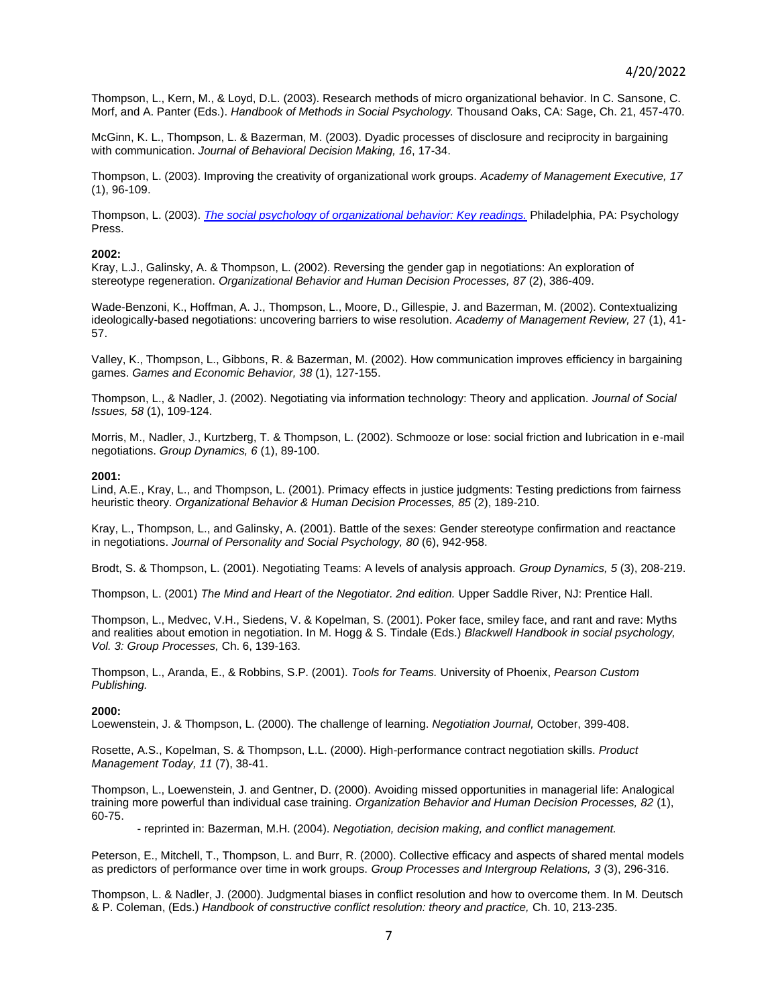Thompson, L., Kern, M., & Loyd, D.L. (2003). Research methods of micro organizational behavior. In C. Sansone, C. Morf, and A. Panter (Eds.). *Handbook of Methods in Social Psychology.* Thousand Oaks, CA: Sage, Ch. 21, 457-470.

McGinn, K. L., Thompson, L. & Bazerman, M. (2003). Dyadic processes of disclosure and reciprocity in bargaining with communication. *Journal of Behavioral Decision Making, 16*, 17-34.

Thompson, L. (2003). Improving the creativity of organizational work groups. *Academy of Management Executive, 17* (1), 96-109.

Thompson, L. (2003). *[The social psychology of organizational behavior: Key readings.](http://www.amazon.com/exec/obidos/tg/detail/-/1841690848/qid=1049501941/sr=12-2/103-3462582-9577442?v=glance&s=books)* Philadelphia, PA: Psychology Press.

#### **2002:**

Kray, L.J., Galinsky, A. & Thompson, L. (2002). Reversing the gender gap in negotiations: An exploration of stereotype regeneration. *Organizational Behavior and Human Decision Processes, 87* (2), 386-409.

Wade-Benzoni, K., Hoffman, A. J., Thompson, L., Moore, D., Gillespie, J. and Bazerman, M. (2002). Contextualizing ideologically-based negotiations: uncovering barriers to wise resolution. *Academy of Management Review,* 27 (1), 41- 57.

Valley, K., Thompson, L., Gibbons, R. & Bazerman, M. (2002). How communication improves efficiency in bargaining games. *Games and Economic Behavior, 38* (1), 127-155.

Thompson, L., & Nadler, J. (2002). Negotiating via information technology: Theory and application. *Journal of Social Issues, 58* (1), 109-124.

Morris, M., Nadler, J., Kurtzberg, T. & Thompson, L. (2002). Schmooze or lose: social friction and lubrication in e-mail negotiations. *Group Dynamics, 6* (1), 89-100.

#### **2001:**

Lind, A.E., Kray, L., and Thompson, L. (2001). Primacy effects in justice judgments: Testing predictions from fairness heuristic theory. *Organizational Behavior & Human Decision Processes, 85* (2), 189-210.

Kray, L., Thompson, L., and Galinsky, A. (2001). Battle of the sexes: Gender stereotype confirmation and reactance in negotiations. *Journal of Personality and Social Psychology, 80* (6), 942-958.

Brodt, S. & Thompson, L. (2001). Negotiating Teams: A levels of analysis approach. *Group Dynamics, 5* (3), 208-219.

Thompson, L. (2001) *The Mind and Heart of the Negotiator. 2nd edition.* Upper Saddle River, NJ: Prentice Hall.

Thompson, L., Medvec, V.H., Siedens, V. & Kopelman, S. (2001). Poker face, smiley face, and rant and rave: Myths and realities about emotion in negotiation. In M. Hogg & S. Tindale (Eds.) *Blackwell Handbook in social psychology, Vol. 3: Group Processes,* Ch. 6, 139-163.

Thompson, L., Aranda, E., & Robbins, S.P. (2001). *Tools for Teams.* University of Phoenix, *Pearson Custom Publishing.*

#### **2000:**

Loewenstein, J. & Thompson, L. (2000). The challenge of learning. *Negotiation Journal,* October, 399-408.

Rosette, A.S., Kopelman, S. & Thompson, L.L. (2000). High-performance contract negotiation skills. *Product Management Today, 11* (7), 38-41.

Thompson, L., Loewenstein, J. and Gentner, D. (2000). Avoiding missed opportunities in managerial life: Analogical training more powerful than individual case training. *Organization Behavior and Human Decision Processes, 82* (1), 60-75.

- reprinted in: Bazerman, M.H. (2004). *Negotiation, decision making, and conflict management.*

Peterson, E., Mitchell, T., Thompson, L. and Burr, R. (2000). Collective efficacy and aspects of shared mental models as predictors of performance over time in work groups. *Group Processes and Intergroup Relations, 3* (3), 296-316.

Thompson, L. & Nadler, J. (2000). Judgmental biases in conflict resolution and how to overcome them. In M. Deutsch & P. Coleman, (Eds.) *Handbook of constructive conflict resolution: theory and practice,* Ch. 10, 213-235.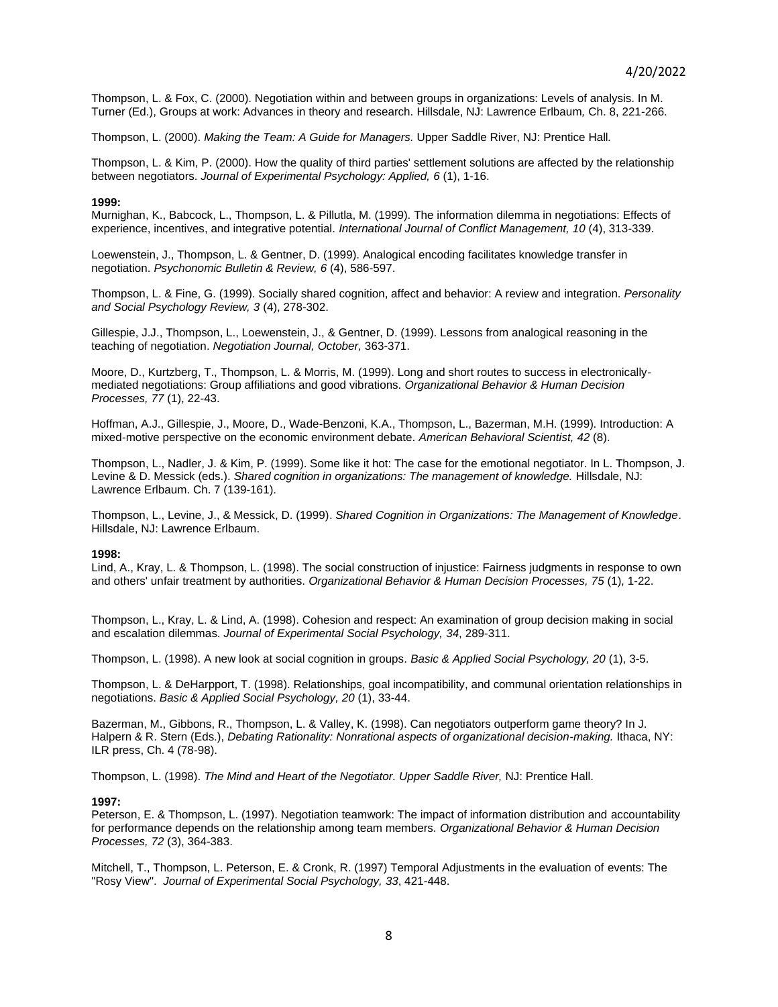Thompson, L. & Fox, C. (2000). Negotiation within and between groups in organizations: Levels of analysis. In M. Turner (Ed.), Groups at work: Advances in theory and research. Hillsdale, NJ: Lawrence Erlbaum*,* Ch. 8, 221-266.

Thompson, L. (2000). *Making the Team: A Guide for Managers.* Upper Saddle River, NJ: Prentice Hall*.*

Thompson, L. & Kim, P. (2000). How the quality of third parties' settlement solutions are affected by the relationship between negotiators. *Journal of Experimental Psychology: Applied, 6* (1), 1-16.

#### **1999:**

Murnighan, K., Babcock, L., Thompson, L. & Pillutla, M. (1999). The information dilemma in negotiations: Effects of experience, incentives, and integrative potential. *International Journal of Conflict Management, 10* (4), 313-339.

Loewenstein, J., Thompson, L. & Gentner, D. (1999). Analogical encoding facilitates knowledge transfer in negotiation. *Psychonomic Bulletin & Review, 6* (4), 586-597.

Thompson, L. & Fine, G. (1999). Socially shared cognition, affect and behavior: A review and integration. *Personality and Social Psychology Review, 3* (4), 278-302.

Gillespie, J.J., Thompson, L., Loewenstein, J., & Gentner, D. (1999). Lessons from analogical reasoning in the teaching of negotiation. *Negotiation Journal, October,* 363-371.

Moore, D., Kurtzberg, T., Thompson, L. & Morris, M. (1999). Long and short routes to success in electronicallymediated negotiations: Group affiliations and good vibrations. *Organizational Behavior & Human Decision Processes, 77* (1), 22-43.

Hoffman, A.J., Gillespie, J., Moore, D., Wade-Benzoni, K.A., Thompson, L., Bazerman, M.H. (1999). Introduction: A mixed-motive perspective on the economic environment debate. *American Behavioral Scientist, 42* (8).

Thompson, L., Nadler, J. & Kim, P. (1999). Some like it hot: The case for the emotional negotiator. In L. Thompson, J. Levine & D. Messick (eds.). *Shared cognition in organizations: The management of knowledge.* Hillsdale, NJ: Lawrence Erlbaum. Ch. 7 (139-161).

Thompson, L., Levine, J., & Messick, D. (1999). *Shared Cognition in Organizations: The Management of Knowledge*. Hillsdale, NJ: Lawrence Erlbaum.

#### **1998:**

Lind, A., Kray, L. & Thompson, L. (1998). The social construction of injustice: Fairness judgments in response to own and others' unfair treatment by authorities. *Organizational Behavior & Human Decision Processes, 75* (1), 1-22.

Thompson, L., Kray, L. & Lind, A. (1998). Cohesion and respect: An examination of group decision making in social and escalation dilemmas. *Journal of Experimental Social Psychology, 34*, 289-311.

Thompson, L. (1998). A new look at social cognition in groups. *Basic & Applied Social Psychology, 20* (1), 3-5.

Thompson, L. & DeHarpport, T. (1998). Relationships, goal incompatibility, and communal orientation relationships in negotiations. *Basic & Applied Social Psychology, 20* (1), 33-44.

Bazerman, M., Gibbons, R., Thompson, L. & Valley, K. (1998). Can negotiators outperform game theory? In J. Halpern & R. Stern (Eds.), *Debating Rationality: Nonrational aspects of organizational decision-making.* Ithaca, NY: ILR press, Ch. 4 (78-98).

Thompson, L. (1998). *The Mind and Heart of the Negotiator. Upper Saddle River,* NJ: Prentice Hall.

#### **1997:**

Peterson, E. & Thompson, L. (1997). Negotiation teamwork: The impact of information distribution and accountability for performance depends on the relationship among team members. *Organizational Behavior & Human Decision Processes, 72* (3), 364-383.

Mitchell, T., Thompson, L. Peterson, E. & Cronk, R. (1997) Temporal Adjustments in the evaluation of events: The "Rosy View". *Journal of Experimental Social Psychology, 33*, 421-448.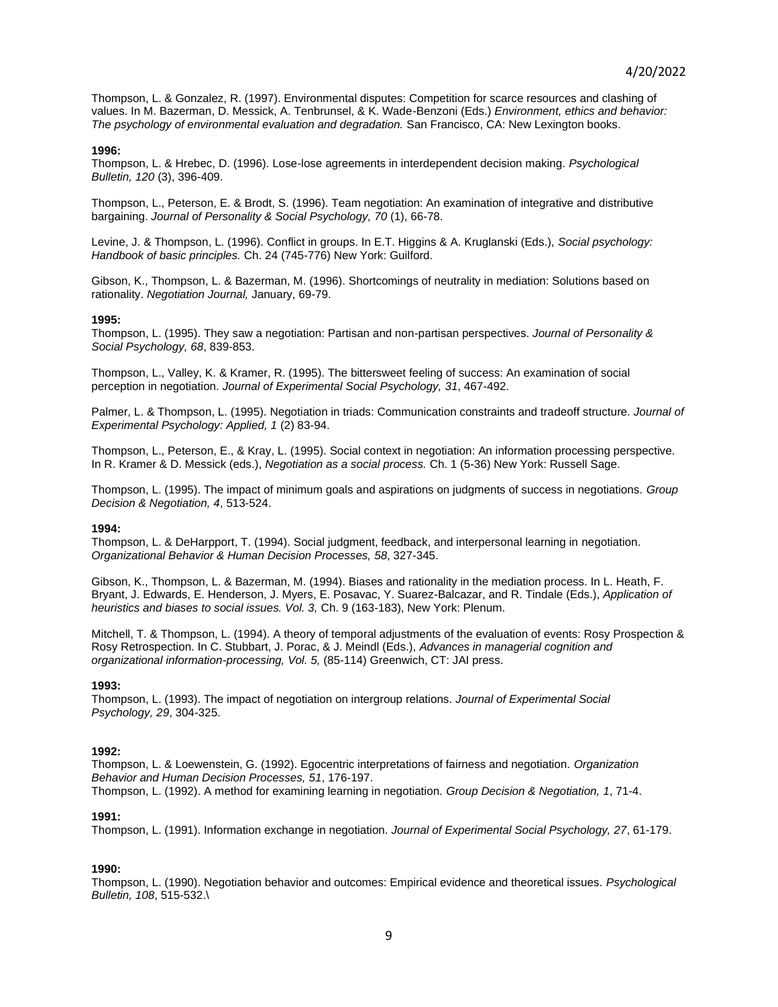Thompson, L. & Gonzalez, R. (1997). Environmental disputes: Competition for scarce resources and clashing of values. In M. Bazerman, D. Messick, A. Tenbrunsel, & K. Wade-Benzoni (Eds.) *Environment, ethics and behavior: The psychology of environmental evaluation and degradation.* San Francisco, CA: New Lexington books.

#### **1996:**

Thompson, L. & Hrebec, D. (1996). Lose-lose agreements in interdependent decision making. *Psychological Bulletin, 120* (3), 396-409.

Thompson, L., Peterson, E. & Brodt, S. (1996). Team negotiation: An examination of integrative and distributive bargaining. *Journal of Personality & Social Psychology, 70* (1), 66-78.

Levine, J. & Thompson, L. (1996). Conflict in groups. In E.T. Higgins & A. Kruglanski (Eds.), *Social psychology: Handbook of basic principles.* Ch. 24 (745-776) New York: Guilford.

Gibson, K., Thompson, L. & Bazerman, M. (1996). Shortcomings of neutrality in mediation: Solutions based on rationality. *Negotiation Journal,* January, 69-79.

#### **1995:**

Thompson, L. (1995). They saw a negotiation: Partisan and non-partisan perspectives. *Journal of Personality & Social Psychology, 68*, 839-853.

Thompson, L., Valley, K. & Kramer, R. (1995). The bittersweet feeling of success: An examination of social perception in negotiation. *Journal of Experimental Social Psychology, 31*, 467-492.

Palmer, L. & Thompson, L. (1995). Negotiation in triads: Communication constraints and tradeoff structure. *Journal of Experimental Psychology: Applied, 1* (2) 83-94.

Thompson, L., Peterson, E., & Kray, L. (1995). Social context in negotiation: An information processing perspective. In R. Kramer & D. Messick (eds.), *Negotiation as a social process.* Ch. 1 (5-36) New York: Russell Sage.

Thompson, L. (1995). The impact of minimum goals and aspirations on judgments of success in negotiations. *Group Decision & Negotiation, 4*, 513-524.

#### **1994:**

Thompson, L. & DeHarpport, T. (1994). Social judgment, feedback, and interpersonal learning in negotiation. *Organizational Behavior & Human Decision Processes, 58*, 327-345.

Gibson, K., Thompson, L. & Bazerman, M. (1994). Biases and rationality in the mediation process. In L. Heath, F. Bryant, J. Edwards, E. Henderson, J. Myers, E. Posavac, Y. Suarez-Balcazar, and R. Tindale (Eds.), *Application of heuristics and biases to social issues. Vol. 3,* Ch. 9 (163-183), New York: Plenum.

Mitchell, T. & Thompson, L. (1994). A theory of temporal adjustments of the evaluation of events: Rosy Prospection & Rosy Retrospection. In C. Stubbart, J. Porac, & J. Meindl (Eds.), *Advances in managerial cognition and organizational information-processing, Vol. 5,* (85-114) Greenwich, CT: JAI press.

#### **1993:**

Thompson, L. (1993). The impact of negotiation on intergroup relations. *Journal of Experimental Social Psychology, 29*, 304-325.

#### **1992:**

Thompson, L. & Loewenstein, G. (1992). Egocentric interpretations of fairness and negotiation. *Organization Behavior and Human Decision Processes, 51*, 176-197. Thompson, L. (1992). A method for examining learning in negotiation. *Group Decision & Negotiation, 1*, 71-4.

#### **1991:**

Thompson, L. (1991). Information exchange in negotiation. *Journal of Experimental Social Psychology, 27*, 61-179.

#### **1990:**

Thompson, L. (1990). Negotiation behavior and outcomes: Empirical evidence and theoretical issues. *Psychological Bulletin, 108*, 515-532.\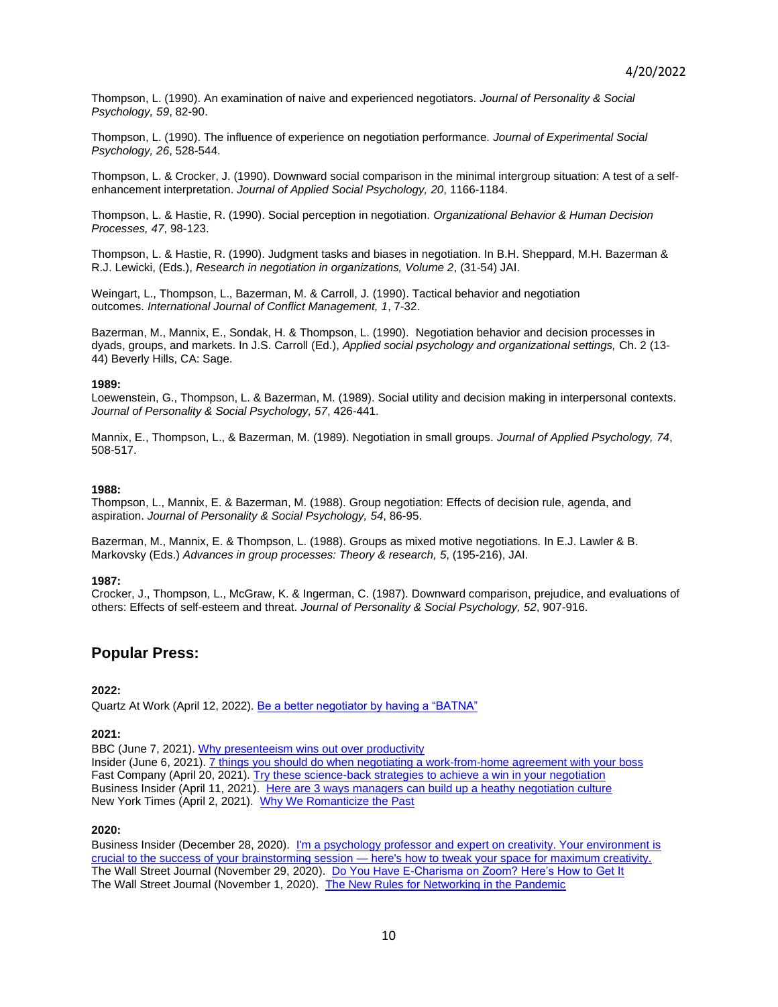Thompson, L. (1990). An examination of naive and experienced negotiators. *Journal of Personality & Social Psychology, 59*, 82-90.

Thompson, L. (1990). The influence of experience on negotiation performance. *Journal of Experimental Social Psychology, 26*, 528-544.

Thompson, L. & Crocker, J. (1990). Downward social comparison in the minimal intergroup situation: A test of a selfenhancement interpretation. *Journal of Applied Social Psychology, 20*, 1166-1184.

Thompson, L. & Hastie, R. (1990). Social perception in negotiation. *Organizational Behavior & Human Decision Processes, 47*, 98-123.

Thompson, L. & Hastie, R. (1990). Judgment tasks and biases in negotiation. In B.H. Sheppard, M.H. Bazerman & R.J. Lewicki, (Eds.), *Research in negotiation in organizations, Volume 2*, (31-54) JAI.

Weingart, L., Thompson, L., Bazerman, M. & Carroll, J. (1990). Tactical behavior and negotiation outcomes. *International Journal of Conflict Management, 1*, 7-32.

Bazerman, M., Mannix, E., Sondak, H. & Thompson, L. (1990). Negotiation behavior and decision processes in dyads, groups, and markets. In J.S. Carroll (Ed.), *Applied social psychology and organizational settings,* Ch. 2 (13- 44) Beverly Hills, CA: Sage.

#### **1989:**

Loewenstein, G., Thompson, L. & Bazerman, M. (1989). Social utility and decision making in interpersonal contexts. *Journal of Personality & Social Psychology, 57*, 426-441.

Mannix, E., Thompson, L., & Bazerman, M. (1989). Negotiation in small groups. *Journal of Applied Psychology, 74*, 508-517.

#### **1988:**

Thompson, L., Mannix, E. & Bazerman, M. (1988). Group negotiation: Effects of decision rule, agenda, and aspiration. *Journal of Personality & Social Psychology, 54*, 86-95.

Bazerman, M., Mannix, E. & Thompson, L. (1988). Groups as mixed motive negotiations. In E.J. Lawler & B. Markovsky (Eds.) *Advances in group processes: Theory & research, 5*, (195-216), JAI.

#### **1987:**

Crocker, J., Thompson, L., McGraw, K. & Ingerman, C. (1987). Downward comparison, prejudice, and evaluations of others: Effects of self-esteem and threat. *Journal of Personality & Social Psychology, 52*, 907-916.

# **Popular Press:**

#### **2022:**

Quartz At Work (April 12, 2022). [Be a better negotiator by having a "BATNA"](https://qz.com/work/2153804/how-to-negotiate-better-know-your-batna/)

#### **2021:**

BBC (June 7, 2021). [Why presenteeism wins out over productivity](https://www.bbc.com/worklife/article/20210604-why-presenteeism-always-wins-out-over-productivity) Insider (June 6, 2021)[. 7 things you should do when negotiating a work-from-home agreement with your boss](https://www.bbc.com/worklife/article/20210604-why-presenteeism-always-wins-out-over-productivity) Fast Company (April 20, 2021). [Try these science-back strategies to achieve](https://www.fastcompany.com/90626783/try-these-science-backed-strategies-to-achieve-a-win-in-your-next-negotiation) a win in your negotiation Business Insider (April 11, 2021). [Here are 3 ways managers can build up a heathy negotiation culture](https://www.businessinsider.com/negotiation-managers-encourage-employees-leigh-thompson-2021-4) New York Times (April 2, 2021). [Why We Romanticize the Past](https://www.nytimes.com/2021/04/02/smarter-living/why-we-romanticize-the-past.html)

#### **2020:**

Business Insider (December 28, 2020). I'm a psychology professor and expert on creativity. Your environment is crucial to the success of your brainstorming session — [here's how to tweak your space for maximum creativity.](https://www.businessinsider.com/how-to-get-creative-environment-leigh-thompson-expert-2020-12) The Wall Street Journal (November 29, 2020). [Do You Have E-Charisma on Zoom? Here's How to Get It](https://www.wsj.com/articles/do-you-have-e-charisma-on-zoom-heres-how-to-get-it-11606651200?mod=hp_lead_pos8) The Wall Street Journal (November 1, 2020). [The New Rules for Networking in the Pandemic](https://www.wsj.com/articles/the-new-rules-for-networking-in-the-pandemic-11604232001?st=x5ql79fj81i9mqx)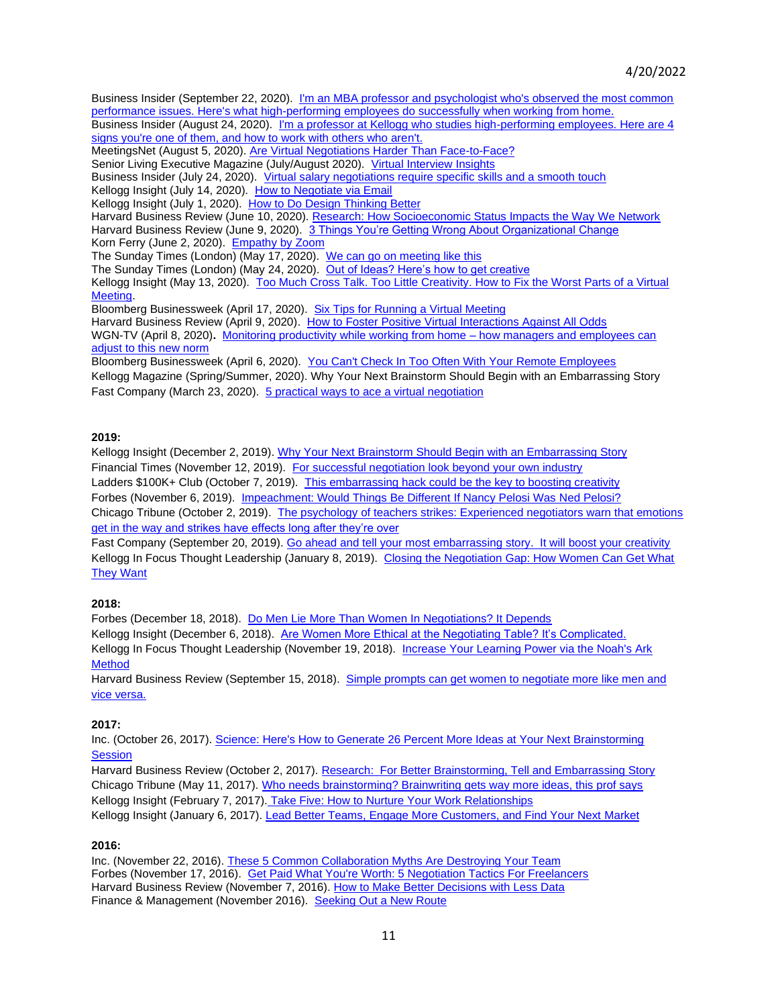Business Insider (September 22, 2020). [I'm an MBA professor and psychologist who's observed the most common](https://www.businessinsider.com/kellogg-professor-high-performing-employees-do-these-5-things-2020-9?utm_source=Sailthru&utm_medium=email&utm_content=BIPrime_select&utm_campaign=BI%20Prime%202020-09-23&utm_term=BI%20Prime%20Select)  [performance issues. Here's what high-performing employees do successfully when working from home.](https://www.businessinsider.com/kellogg-professor-high-performing-employees-do-these-5-things-2020-9?utm_source=Sailthru&utm_medium=email&utm_content=BIPrime_select&utm_campaign=BI%20Prime%202020-09-23&utm_term=BI%20Prime%20Select) Business Insider (August 24, 2020). [I'm a professor at Kellogg who studies high-performing employees. Here are 4](https://www.businessinsider.com/kellogg-mba-professor-high-performing-employees-possess-4-traits-2020-8) 

[signs you're one of them, and how to work with others who aren't.](https://www.businessinsider.com/kellogg-mba-professor-high-performing-employees-possess-4-traits-2020-8)

MeetingsNet (August 5, 2020)[. Are Virtual Negotiations Harder Than Face-to-Face?](https://www.meetingsnet.com/negotiating-contracts/are-virtual-negotiations-harder-face-face)

Senior Living Executive Magazine (July/August 2020). [Virtual Interview Insights](http://content.yudu.com/web/406u7/0A40767/SLEJuly.Aug2020/html/index.html?page=16&origin=reader)

Business Insider (July 24, 2020). [Virtual salary negotiations require specific skills and a smooth touch](https://www.businessinsider.com/how-to-negotiate-virtually-kellogg-mba-professor-expert-2020-7) Kellogg Insight (July 14, 2020). [How to Negotiate via Email](https://insight.kellogg.northwestern.edu/article/how-to-negotiate-via-email)

Kellogg Insight (July 1, 2020). How to Do [Design Thinking Better](https://insight.kellogg.northwestern.edu/article/better-design-thinking-research)

Harvard Business Review (June 10, 2020)[. Research: How Socioeconomic Status Impacts the Way We Network](https://urldefense.com/v3/__https:/hbr.org/2020/06/research-how-socioeconomic-status-impacts-the-way-we-network__;!!Dq0X2DkFhyF93HkjWTBQKhk!FCI0p6g3w8NXhBz5Cp_ozXyUxlCvztTqYC7-i0qlCY2u28Tue8Iz__HlPz6v19z_f5O4SPv_lmOsZvTv-g$) Harvard Business Review (June 9, 2020). [3 Things You're Getting Wrong About Organizational Change](https://hbr.org/2020/06/3-things-youre-getting-wrong-about-organizational-change) Korn Ferry (June 2, 2020). [Empathy by Zoom](https://www.kornferry.com/insights/articles/empathy-video-conference-coronavirus-george-floyd-protest)

The Sunday Times (London) (May 17, 2020). [We can go on meeting like this](https://www.thetimes.co.uk/article/we-can-go-on-meeting-like-this-l83nd2lcw)

The Sunday Times (London) (May 24, 2020). [Out of Ideas? Here's how to get creative](https://www.thetimes.co.uk/article/out-of-ideas-heres-how-to-get-creative-k73thbk0s)

Kellogg Insight (May 13, 2020). [Too Much Cross Talk. Too Little Creativity. How to Fix the Worst Parts of a Virtual](https://insight.kellogg.northwestern.edu/article/too-much-cross-talk-too-little-creativity-how-to-fix-worst-parts-virtual-meeting)  [Meeting.](https://insight.kellogg.northwestern.edu/article/too-much-cross-talk-too-little-creativity-how-to-fix-worst-parts-virtual-meeting)

Bloomberg Businessweek (April 17, 2020). [Six Tips for Running a Virtual Meeting](https://www.bloomberg.com/news/articles/2020-04-17/how-to-run-a-virtual-meeting?sref=XhuUBm4j)

Harvard Business Review (April 9, 2020). [How to Foster Positive Virtual Interactions Against All Odds](https://hbrascend.org/topics/how-to-foster-positive-virtual-interactions-against-all-odds/)

WGN-TV (April 8, 2020)**.** [Monitoring productivity while working from home –](https://wgntv.com/midday-news/monitoring-productivity-while-working-from-home-how-managers-employees-can-adjust-to-this-new-normal/) how managers and employees can [adjust to this new norm](https://wgntv.com/midday-news/monitoring-productivity-while-working-from-home-how-managers-employees-can-adjust-to-this-new-normal/)

Bloomberg Businessweek (April 6, 2020). [You Can't Check In Too Often With Your Remote Employees](https://www.bloombergquint.com/businessweek/you-can-t-check-in-too-often-with-your-remote-employees) Kellogg Magazine (Spring/Summer, 2020). Why Your Next Brainstorm Should Begin with an Embarrassing Story Fast Company (March 23, 2020). [5 practical ways to ace a virtual negotiation](https://www.fastcompany.com/90480235/5-practical-ways-to-ace-a-virtual-negotiation?partner=feedburner&utm_source=feedburner&utm_medium=feed&utm_campaign=Feed%3A+fastcompany%2Fheadlines+%28Fast+Company%29&utm_content=Google+Feedfetcher)

## **2019:**

Kellogg Insight (December 2, 2019)[. Why Your Next Brainstorm Should Begin with an Embarrassing Story](https://insight.kellogg.northwestern.edu/article/boost-creativity-brainstorm-embarrassment) Financial Times (November 12, 2019). [For successful negotiation look beyond your own industry](https://on.ft.com/33I8YaZ) Ladders \$100K+ Club (October 7, 2019). [This embarrassing hack could be the key to boosting creativity](https://www.theladders.com/career-advice/the-embarrassing-secret-to-boosting-office-creativity) Forbes (November 6, 2019). [Impeachment: Would Things Be Different If Nancy Pelosi Was Ned Pelosi?](https://www.forbes.com/sites/patriciagbarnes/2019/11/06/impeachment-would-things-be-different-if-nancy-pelosi-was-ned-pelosi/#12a917c356df) Chicago Tribune (October 2, 2019). The psychology of teachers strikes: Experienced negotiators warn that emotions [get in the way and strikes have effects long after they're over](https://www.chicagotribune.com/lifestyles/ct-life-cps-teachers-strike-psychology-negotiations-tt-20191002-yslq2xmeujgexpylnjdrrigdy4-story.html)

Fast Company (September 20, 2019)[. Go ahead and tell your most embarrassing story. It will boost your creativity](https://www.fastcompany.com/90406432/go-ahead-and-tell-your-most-embarrassing-story-it-will-boost-your-creativity?partner=rss&utm_source=rss&utm_medium=feed&utm_campaign=rss+fastcompany&utm_content=rss) Kellogg In Focus Thought Leadership (January 8, 2019). Closing the Negotiation Gap: How Women Can Get What [They Want](https://www.kellogg.northwestern.edu/executive-education/take-action/c/nvw/women-negotiation-tips.aspx)

# **2018:**

Forbes (December 18, 2018). [Do Men Lie More Than Women In Negotiations? It Depends](https://www.forbes.com/sites/tanyatarr/2018/12/18/do-men-lie-more-than-women-in-negotiations-it-depends/#73ac19c31cd6) Kellogg Insight (December 6, 2018). [Are Women More Ethical at the Negotiating Table? It's Complicated.](https://insight.kellogg.northwestern.edu/article/women-ethics-workplace-negotiation) Kellogg In Focus Thought Leadership (November 19, 2018). [Increase Your Learning Power via the Noah's Ark](https://www.kellogg.northwestern.edu/executive-education/the-kellogg-experience/thought-leadership.aspx)  [Method](https://www.kellogg.northwestern.edu/executive-education/the-kellogg-experience/thought-leadership.aspx)

Harvard Business Review (September 15, 2018). [Simple prompts can get women to negotiate more like men and](https://hbr.org/2018/09/research-simple-prompts-can-get-women-to-negotiate-more-like-men-and-vice-versa)  [vice versa.](https://hbr.org/2018/09/research-simple-prompts-can-get-women-to-negotiate-more-like-men-and-vice-versa)

## **2017:**

Inc. (October 26, 2017)[. Science: Here's How to Generate 26 Percent More Ideas at Your Next Brainstorming](https://www.inc.com/jessica-stillman/science-has-discovered-a-magic-ingredient-for-better-brainstorming-embarrassing-stories.html)  **[Session](https://www.inc.com/jessica-stillman/science-has-discovered-a-magic-ingredient-for-better-brainstorming-embarrassing-stories.html)** 

Harvard Business Review (October 2, 2017). [Research: For Better Brainstorming, Tell and Embarrassing Story](https://hbr.org/2017/10/research-for-better-brainstorming-tell-an-embarrassing-story) Chicago Tribune (May 11, 2017). [Who needs brainstorming? Brainwriting gets way more ideas, this prof says](http://www.chicagotribune.com/bluesky/originals/ct-creative-class-leigh-thompson-bsi-20170511-story.html) Kellogg Insight (February 7, 2017). [Take Five: How to Nurture Your Work Relationships](https://insight.kellogg.northwestern.edu/article/take-five-how-to-nurture-your-work-relationships?utm_source=staff&utm_medium=email&utm_campaign=mailer02-2017) Kellogg Insight (January 6, 2017). [Lead Better Teams, Engage More Customers, and Find Your Next Market](https://insight.kellogg.northwestern.edu/article/lead-better-teams-engage-more-customers-and-find-your-next-market?utm_source=staff&utm_medium=email&utm_campaign=mailer01-2017)

## **2016:**

Inc. (November 22, 2016). [These 5 Common Collaboration Myths Are Destroying Your Team](http://www.inc.com/jessica-stillman/these-5-common-collaboration-myths-are-destroying-your-team.html) Forbes (November 17, 2016). [Get Paid What You're Worth: 5 Negotiation Tactics For Freelancers](http://www.forbes.com/sites/abdullahimuhammed/2016/11/17/negotiation-tactics-for-freelancers/#4881e1bc4614) Harvard Business Review (November 7, 2016)[. How to Make Better Decisions with Less Data](https://hbr.org/2016/11/how-to-make-better-decisions-with-less-data) Finance & Management (November 2016). [Seeking Out a New Route](http://viewer.zmags.com/publication/55d211a2#/55d211a2/8)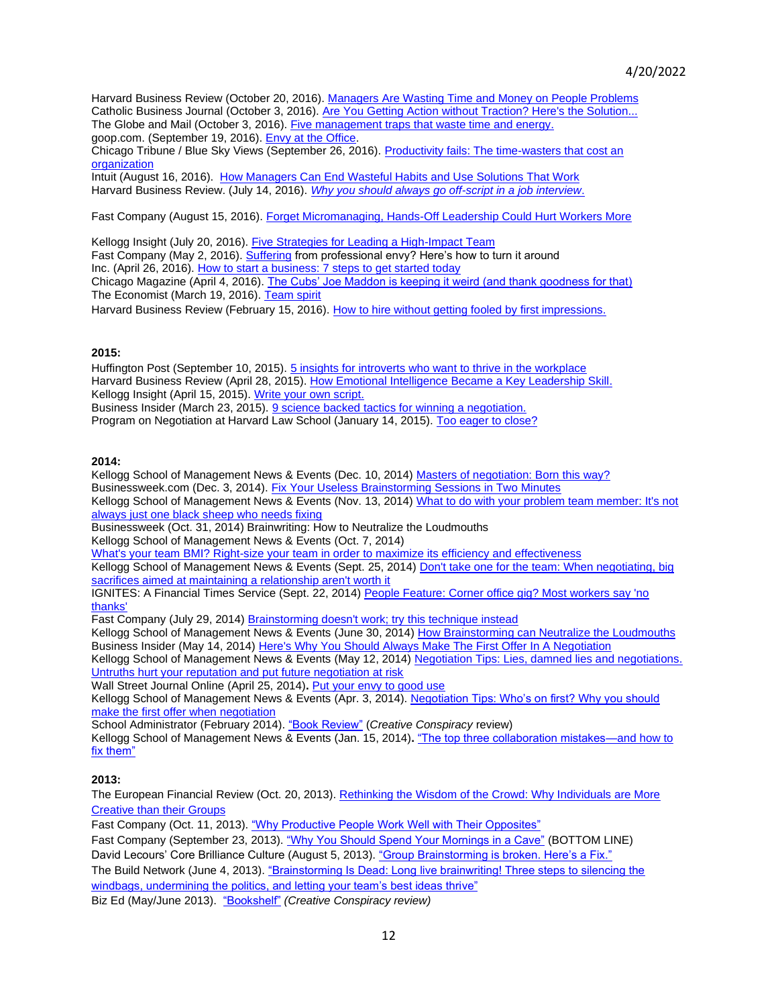Harvard Business Review (October 20, 2016). [Managers Are Wasting Time and Money on People Problems](https://hbr.org/video/5178435802001/managers-are-wasting-time-and-money-on-people-problems) Catholic Business Journal (October 3, 2016)[. Are You Getting Action without Traction? Here's the Solution...](https://catholicbusinessjournal.biz/content/book-are-you-getting-action-without-traction-heres-solution) The Globe and Mail (October 3, 2016)[. Five management traps that waste time and energy.](http://www.theglobeandmail.com/report-on-business/careers/management/five-management-traps-that-waste-time-and-energy/article32164751/) goop.com. (September 19, 2016). [Envy at the Office.](http://goop.com/envy-at-the-office/) Chicago Tribune / Blue Sky Views (September 26, 2016)[. Productivity fails: The time-wasters that cost an](http://www.chicagotribune.com/bluesky/hub/ct-blue-sky-views-hub-hidden-costs-bsi-20160926-story.html)  [organization](http://www.chicagotribune.com/bluesky/hub/ct-blue-sky-views-hub-hidden-costs-bsi-20160926-story.html)

Intuit (August 16, 2016). [How Managers Can End Wasteful Habits and Use Solutions That Work](http://quickbase.intuit.com/blog/how-managers-can-end-wasteful-habits-and-use-solutions-that-work) Harvard Business Review. (July 14, 2016). *[Why you should always go off-script in a job interview](https://hbr.org/2016/07/why-you-should-always-go-off-script-in-a-job-interview)*.

Fast Company (August 15, 2016)[. Forget Micromanaging, Hands-Off Leadership Could Hurt Workers More](http://www.fastcompany.com/3062695/forget-micromanaging-hands-off-leadership-could-hurt-workers-more)

Kellogg Insight (July 20, 2016). [Five Strategies for Leading a High-Impact Team](http://insight.kellogg.northwestern.edu/article/five-strategies-for-leading-a-high-impact-team) Fast Company (May 2, 2016)[. Suffering](http://www.fastcompany.com/3059400/your-most-productive-self/suffering-from-professional-envy-heres-how-to-turn-it-around) from professional envy? Here's how to turn it around Inc. (April 26, 2016)[. How to start a business: 7 steps to get started today](http://www.inc.com/john-rampton/how-to-start-a-business-7-steps-to-get-started-today.html) Chicago Magazine (April 4, 2016)[. The Cubs' Joe Maddon is keeping it weird \(and thank goodness for that\)](http://www.chicagomag.com/city-life/April-2016/Joe-Maddon-Cubs-Keeping-It-Weird/) The Economist (March 19, 2016). [Team spirit](http://www.economist.com/news/business-and-finance/21694962-managing-them-hard-businesses-are-embracing-idea-working-teams)

Harvard Business Review (February 15, 2016). [How to hire without getting fooled by first impressions.](https://hbr.org/2016/02/how-to-hire-without-getting-fooled-by-first-impressions)

### **2015:**

Huffington Post (September 10, 2015)[. 5 insights for introverts who want to thrive in the workplace](http://www.huffingtonpost.com/2015/09/10/susan-cain-qa_n_8049360.html) Harvard Business Review (April 28, 2015). [How Emotional Intelligence Became a Key Leadership Skill.](https://hbr.org/2015/04/how-emotional-intelligence-became-a-key-leadership-skill) Kellogg Insight (April 15, 2015). [Write your own script.](http://insight.kellogg.northwestern.edu/blogs/entry/write-your-own-script) Business Insider (March 23, 2015). [9 science backed tactics for winning a negotiation.](http://www.businessinsider.com/how-to-win-negotiations-2015-3?op=1) Program on Negotiation at Harvard Law School (January 14, 2015). [Too eager to close?](http://www.pon.harvard.edu/negotiation-briefings-articles/too-eager-to-close/)

#### **2014:**

Kellogg School of Management News & Events (Dec. 10, 2014[\) Masters of negotiation: Born this way?](http://www.kellogg.northwestern.edu/news_articles/2014/12052014-made-not-born.aspx) Businessweek.com (Dec. 3, 2014)[. Fix Your Useless Brainstorming Sessions in Two Minutes](http://www.bloomberg.com/bw/articles/2014-12-03/why-brainstorming-doesnt-work-and-how-to-fix-it) Kellogg School of Management News & Events (Nov. 13, 2014[\) What to do with your problem team member: It's not](http://www.kellogg.northwestern.edu/news_articles/2014/11072014-bad-team-member.aspx)  [always just one black sheep who needs fixing](http://www.kellogg.northwestern.edu/news_articles/2014/11072014-bad-team-member.aspx)

Businessweek (Oct. 31, 2014) Brainwriting: How to Neutralize the Loudmouths

Kellogg School of Management News & Events (Oct. 7, 2014)

[What's your team BMI? Right-size your team in order to maximize its efficiency and effectiveness](http://www.kellogg.northwestern.edu/news_articles/2014/10072014-team-bmi.aspx) Kellogg School of Management News & Events (Sept. 25, 2014) [Don't take one for the team: When negotiating, big](http://www.kellogg.northwestern.edu/news_articles/2014/09222014-negotiation-for-the-team.aspx)  [sacrifices aimed at maintaining a relationship aren't worth it](http://www.kellogg.northwestern.edu/news_articles/2014/09222014-negotiation-for-the-team.aspx)

IGNITES: A Financial Times Service (Sept. 22, 2014[\) People Feature: Corner office gig? Most workers say 'no](http://ignites.com/c/973654/96644/corner_office_most_workers_thanks?referrer_module=emailForwarded&module_order=0)  [thanks'](http://ignites.com/c/973654/96644/corner_office_most_workers_thanks?referrer_module=emailForwarded&module_order=0)

Fast Company (July 29, 2014) [Brainstorming doesn't work; try this technique instead](http://www.fastcompany.com/3033567/agendas/brainstorming-doesnt-work-try-this-technique-instead)

Kellogg School of Management News & Events (June 30, 2014) [How Brainstorming can Neutralize the Loudmouths](http://www.kellogg.northwestern.edu/news_articles/2014/06262014-video-thompson-brainwriting.aspx) Business Insider (May 14, 2014[\) Here's Why You Should Always Make The First Offer In A Negotiation](http://www.businessinsider.com/how-to-negotiate-make-first-offer-2014-5) Kellogg School of Management News & Events (May 12, 2014) [Negotiation Tips: Lies, damned lies and negotiations.](http://www.kellogg.northwestern.edu/news_articles/2014/05122014-negotiation_lies.aspx) 

[Untruths hurt your reputation and put future negotiation at risk](http://www.kellogg.northwestern.edu/news_articles/2014/05122014-negotiation_lies.aspx) Wall Street Journal Online (April 25, 2014)**.** [Put your envy to good use](http://online.wsj.com/news/articles/SB10001424052702304279904579517903705459222)

Kellogg School of Management News & Events (Apr. 3, 2014). [Negotiation Tips: Who's on first? Why you should](http://www.kellogg.northwestern.edu/news_articles/2014/04022014-negotiate_first_offer.aspx)  [make the first offer when negotiation](http://www.kellogg.northwestern.edu/news_articles/2014/04022014-negotiate_first_offer.aspx)

School Administrator (February 2014). ["Book Review"](http://www.aasa.org/content.aspx?id=31540) (*Creative Conspiracy* review)

Kellogg School of Management News & Events (Jan. 15, 2014)**.** ["The top three collaboration mistakes—and how to](http://www.kellogg.northwestern.edu/news_articles/2014/01142014-three-collaboration-mistakes.aspx)  [fix them"](http://www.kellogg.northwestern.edu/news_articles/2014/01142014-three-collaboration-mistakes.aspx)

## **2013:**

The European Financial Review (Oct. 20, 2013). [Rethinking the Wisdom of the Crowd: Why Individuals are More](http://www.europeanfinancialreview.com/?p=7346)  [Creative than their Groups](http://www.europeanfinancialreview.com/?p=7346)

Fast Company (Oct. 11, 2013). ["Why Productive People Work Well with Their Opposites"](http://www.fastcompany.com/3019808/leadership-now/why-productive-people-work-well-with-their-opposites)

Fast Company (September 23, 2013)[. "Why You Should Spend Your Mornings in a Cave"](http://www.fastcompany.com/3017987/bottom-line/why-you-should-spend-your-morning-in-a-cave) (BOTTOM LINE) David Lecours' Core Brilliance Culture (August 5, 2013). ["Group Brainstorming is broken. Here's a Fix."](http://www.davidlecours.com/group-brainstorming/) The Build Network (June 4, 2013). ["Brainstorming Is Dead: Long live brainwriting! Three steps to silencing the](http://www.inc.com/the-build-network/brainstorming-is-dead.html)  [windbags, undermining the politics, and letting your team's best ideas thrive"](http://www.inc.com/the-build-network/brainstorming-is-dead.html)

Biz Ed (May/June 2013). ["Bookshelf"](http://www.bizedmagazine.com/~/media/BizEd%20Magazine/Archives/2013/MayJun/full-issue.ashx) *(Creative Conspiracy review)*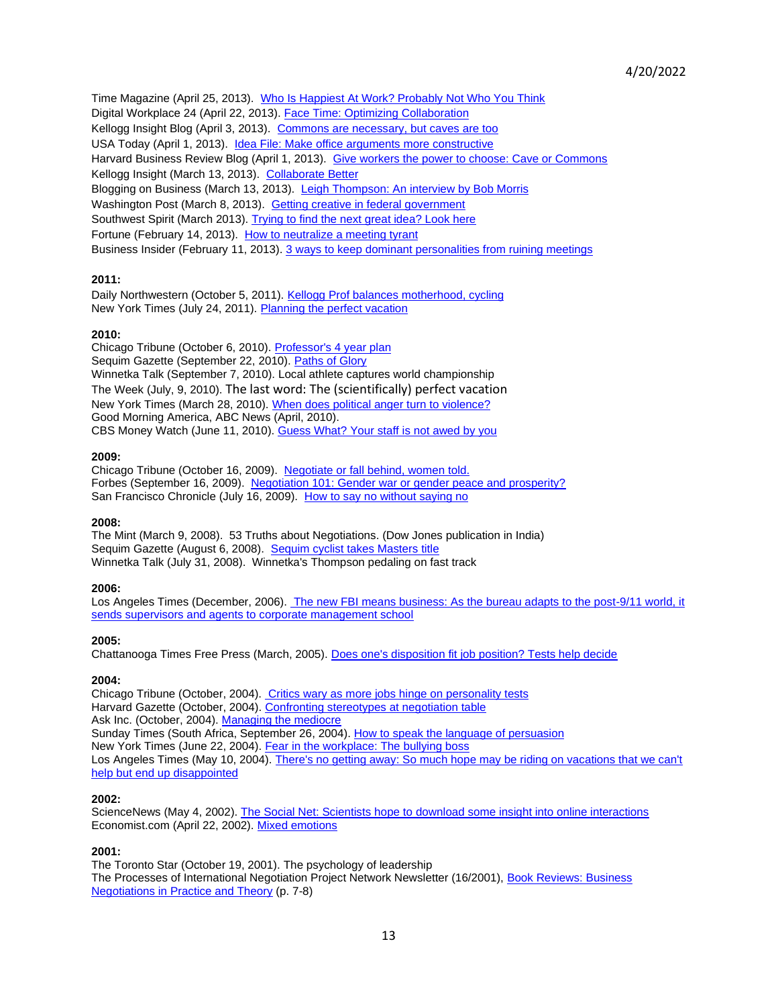Time Magazine (April 25, 2013). [Who Is Happiest At Work? Probably Not Who You Think](http://business.time.com/2013/04/25/who-is-happiest-at-work-probably-not-who-you-think/) Digital Workplace 24 (April 22, 2013)[. Face Time: Optimizing Collaboration](http://www.ibforum.com/2013/04/22/4-rules-optimizing-collaboration/) Kellogg Insight Blog (April 3, 2013). [Commons are necessary, but caves are too](http://insight.kellogg.northwestern.edu/blogs/entry/commons_are_necessary_but_caves_are_too/) USA Today (April 1, 2013). [Idea File: Make office arguments more constructive](http://www.usatoday.com/story/money/business/2013/04/01/executive-edition-managing-debate/2023281/) Harvard Business Review Blog (April 1, 2013). [Give workers the power to choose: Cave or Commons](http://blogs.hbr.org/cs/2013/03/give_workers_the_power_to_choose_cave.html) Kellogg Insight (March 13, 2013). [Collaborate Better](http://insight.kellogg.northwestern.edu/article/collaborate_better/) Blogging on Business (March 13, 2013). [Leigh Thompson: An interview by Bob Morris](http://bobmorris.biz/leigh-thompson-an-interview-by-bob-morris) Washington Post (March 8, 2013). [Getting creative in federal government](http://www.washingtonpost.com/national/on-leadership/getting-creative-in-federal-government/2013/03/07/084eef1a-873e-11e2-98a3-b3db6b9ac586_story.html) Southwest Spirit (March 2013). [Trying to find the next great idea? Look here](http://cms.kellogg.northwestern.edu/~/media/Files/Faculty/Research/ArticlesBookChaptersWorkingPapers/SouthwestSpirit_Thompson.ashx) Fortune (February 14, 2013). [How to neutralize a meeting tyrant](http://management.fortune.cnn.com/2013/02/11/meetings-conversation-dominator-work) Business Insider (February 11, 2013). [3 ways to keep dominant personalities from ruining meetings](http://www.businessinsider.com/strategies-for-better-meetings-2013-2)

## **2011:**

Daily Northwestern (October 5, 2011). [Kellogg Prof balances motherhood, cycling](http://dailynorthwestern.com/2011/10/03/campus/alumni/kellogg-prof-balances-motherhood-cycling/) New York Times (July 24, 2011). [Planning the perfect vacation](http://travel.nytimes.com/2011/07/24/travel/planning-the-perfect-vacation.html?emc=eta1)

#### **2010:**

Chicago Tribune (October 6, 2010). [Professor's 4 year plan](http://articles.chicagotribune.com/2010-10-06/news/ct-x-n-cycling-champ-20101006_1_time-trialer-high-speed-rides-mechanical-engineer) Sequim Gazette (September 22, 2010). [Paths of Glory](http://search.sequimgazette.com/sports/article.exm/2010-09-22_paths_of_glory) Winnetka Talk (September 7, 2010). Local athlete captures world championship The Week (July, 9, 2010). [The last word: The \(scientifically\) perfect vacation](http://theweek.com/article/index/204853/the-last-word-the-scientifically-perfect-vacation) New York Times (March 28, 2010). [When does political anger turn to violence?](http://www.nytimes.com/2010/03/28/weekinreview/28carey.html?scp=2&sq=benedict%20carey&st=cse) Good Morning America, ABC News (April, 2010). CBS Money Watch (June 11, 2010). [Guess What? Your staff is not awed by you](http://www.cbsnews.com/news/guess-what-your-staff-isnt-awed-by-you/#30903_147169)

#### **2009:**

Chicago Tribune (October 16, 2009). Negotiate or fall [behind, women told.](http://articles.chicagotribune.com/2009-10-16/news/0910140635_1_gender-gap-negotiate-men-and-women) Forbes (September 16, 2009). [Negotiation 101: Gender war or gender peace and prosperity?](http://www.forbes.com/2009/09/18/disputes-compensation-success-forbes-woman-leadership-negotiating.html) San Francisco Chronicle (July 16, 2009). [How to say no without saying no](http://www.sfgate.com/magazine/article/How-to-Say-No-Without-Saying-No-2479379.php)

#### **2008:**

The Mint (March 9, 2008). 53 Truths about Negotiations. (Dow Jones publication in India) Sequim Gazette (August 6, 2008). [Sequim cyclist takes Masters title](http://www.sequimgazette.com/news/250873591.html) Winnetka Talk (July 31, 2008). Winnetka's Thompson pedaling on fast track

#### **2006:**

Los Angeles Times (December, 2006)[. The new FBI means business: As the bureau adapts to the post-9/11 world, it](http://articles.latimes.com/2006/dec/28/nation/na-fbi28)  [sends supervisors and agents to corporate management school](http://articles.latimes.com/2006/dec/28/nation/na-fbi28)

#### **2005:**

Chattanooga Times Free Press (March, 2005). [Does one's disposition fit job position? Tests help decide](http://www.leighthompson.com/index.php/about/cycling-race-results/18-media/13-does-ones-disposition-fit-job-position-tests-help-decide)

#### **2004:**

Chicago Tribune (October, 2004)[. Critics wary as more jobs hinge on personality tests](http://articles.chicagotribune.com/2004-10-31/news/0410310518_1_tests-job-applicants-gary-hourihan) Harvard Gazette (October, 2004)[. Confronting stereotypes at negotiation table](http://news.harvard.edu/gazette/2004/10.28/13-gender.html) Ask Inc. (October, 2004). [Managing the mediocre](http://www.leighthompson.com/index.php/about/cycling-race-results/18-media/16-managing-the-mediocre) Sunday Times (South Africa, September 26, 2004). [How to speak the language of persuasion](http://www.leighthompson.com/index.php/about/cycling-race-results/18-media/17-how-to-speak-the-language-of-persuasion) New York Times (June 22, 2004). [Fear in the workplace: The bullying boss](http://www.nytimes.com/2004/06/22/health/fear-in-the-workplace-the-bullying-boss.html) Los Angeles Times (May 10, 2004)[. There's no getting away: So much hope may be riding on vacations that we can't](http://articles.latimes.com/2004/may/10/health/he-vacation10)  [help but end up disappointed](http://articles.latimes.com/2004/may/10/health/he-vacation10)

#### **2002:**

ScienceNews (May 4, 2002). [The Social Net: Scientists hope to download some insight into online interactions](https://www.sciencenews.org/article/social-net?mode=magazine&context=348) Economist.com (April 22, 2002). [Mixed emotions](http://www.economist.com/node/1097068)

#### **2001:**

The Toronto Star (October 19, 2001). The psychology of leadership The Processes of International Negotiation Project Network Newsletter (16/2001), [Book Reviews: Business](http://www.leighthompson.com/index.php/about/cycling-race-results/18-media/25-book-reviews-business-negotiations-in-practice-and-theory)  [Negotiations in Practice and Theory](http://www.leighthompson.com/index.php/about/cycling-race-results/18-media/25-book-reviews-business-negotiations-in-practice-and-theory) (p. 7-8)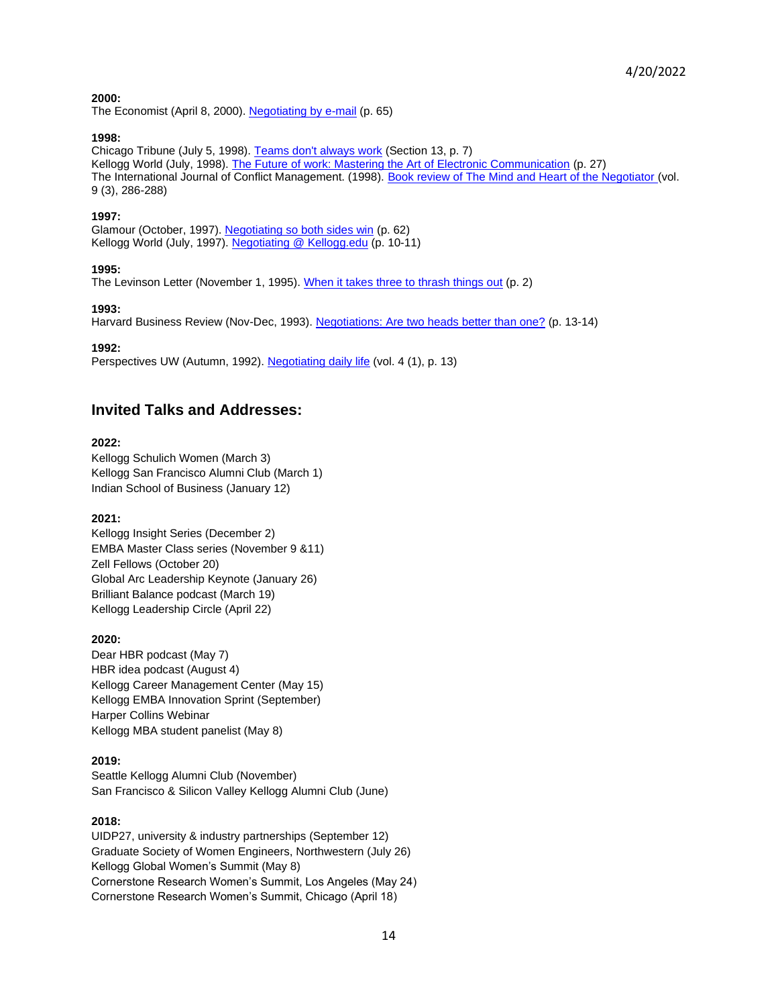# **2000:**

The Economist (April 8, 2000). [Negotiating by e-mail](http://www.economist.com/node/300384) (p. 65)

#### **1998:**

Chicago Tribune (July 5, 1998). [Teams don't always work](http://articles.chicagotribune.com/1998-07-05/features/9807050190_1_team-building-work-teams-fun-and-games) (Section 13, p. 7) Kellogg World (July, 1998). [The Future of work: Mastering the Art of Electronic Communication](http://www.leighthompson.com/index.php/component/content/article/18-media/28-mastering-the-art-of-electronic-communication) (p. 27) The International Journal of Conflict Management. (1998). [Book review of The Mind and Heart of the Negotiator](http://www.leighthompson.com/index.php/component/content/article/18-media/29-book-review-of-the-mind-and-heart-of-the-negotiator-1st-ed) (vol. 9 (3), 286-288)

### **1997:**

Glamour (October, 1997). [Negotiating so both sides win](http://www.leighthompson.com/index.php/component/content/article/18-media/30-negotiating-so-both-sides-win-glamour-october-1997-page-62) (p. 62) Kellogg World (July, 1997). [Negotiating @ Kellogg.edu](http://www.leighthompson.com/index.php/component/content/article/18-media/31-kellogg-world-july-1997-negotiatingkelloggedu-pages-10-11) (p. 10-11)

### **1995:**

The Levinson Letter (November 1, 1995). [When it takes three to thrash things out](http://www.leighthompson.com/index.php/component/content/article/18-media/32-when-it-takes-three-to-thrash-things-out) (p. 2)

### **1993:**

Harvard Business Review (Nov-Dec, 1993). [Negotiations: Are two heads better than one?](http://www.leighthompson.com/index.php/component/content/article/18-media/33-negotiations-are-two-heads-better-than-one) (p. 13-14)

### **1992:**

Perspectives UW (Autumn, 1992). [Negotiating daily life](http://www.leighthompson.com/index.php/component/content/article/18-media/34-negotiating-daily-life) (vol. 4 (1), p. 13)

# **Invited Talks and Addresses:**

### **2022:**

Kellogg Schulich Women (March 3) Kellogg San Francisco Alumni Club (March 1) Indian School of Business (January 12)

## **2021:**

Kellogg Insight Series (December 2) EMBA Master Class series (November 9 &11) Zell Fellows (October 20) Global Arc Leadership Keynote (January 26) Brilliant Balance podcast (March 19) Kellogg Leadership Circle (April 22)

## **2020:**

Dear HBR podcast (May 7) HBR idea podcast (August 4) Kellogg Career Management Center (May 15) Kellogg EMBA Innovation Sprint (September) Harper Collins Webinar Kellogg MBA student panelist (May 8)

## **2019:**

Seattle Kellogg Alumni Club (November) San Francisco & Silicon Valley Kellogg Alumni Club (June)

# **2018:**

UIDP27, university & industry partnerships (September 12) Graduate Society of Women Engineers, Northwestern (July 26) Kellogg Global Women's Summit (May 8) Cornerstone Research Women's Summit, Los Angeles (May 24) Cornerstone Research Women's Summit, Chicago (April 18)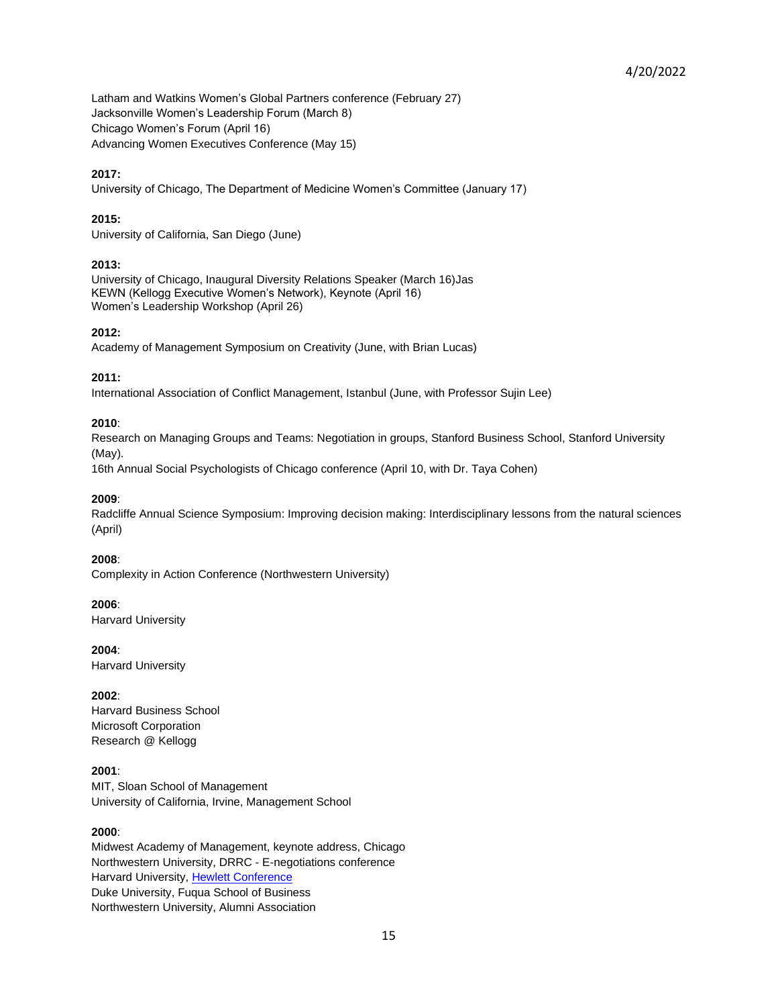Latham and Watkins Women's Global Partners conference (February 27) Jacksonville Women's Leadership Forum (March 8) Chicago Women's Forum (April 16) Advancing Women Executives Conference (May 15)

### **2017:**

University of Chicago, The Department of Medicine Women's Committee (January 17)

### **2015:**

University of California, San Diego (June)

### **2013:**

University of Chicago, Inaugural Diversity Relations Speaker (March 16)Jas KEWN (Kellogg Executive Women's Network), Keynote (April 16) Women's Leadership Workshop (April 26)

### **2012:**

Academy of Management Symposium on Creativity (June, with Brian Lucas)

#### **2011:**

International Association of Conflict Management, Istanbul (June, with Professor Sujin Lee)

### **2010**:

Research on Managing Groups and Teams: Negotiation in groups, Stanford Business School, Stanford University (May).

16th Annual Social Psychologists of Chicago conference (April 10, with Dr. Taya Cohen)

### **2009**:

Radcliffe Annual Science Symposium: Improving decision making: Interdisciplinary lessons from the natural sciences (April)

### **2008**:

Complexity in Action Conference (Northwestern University)

#### **2006**:

Harvard University

#### **2004**:

Harvard University

## **2002**:

Harvard Business School Microsoft Corporation Research @ Kellogg

## **2001**:

MIT, Sloan School of Management University of California, Irvine, Management School

#### **2000**:

Midwest Academy of Management, keynote address, Chicago Northwestern University, DRRC - E-negotiations conference Harvard University, [Hewlett Conference](http://www.pon.harvard.edu/events/hewlett/day3.shtml) Duke University, Fuqua School of Business Northwestern University, Alumni Association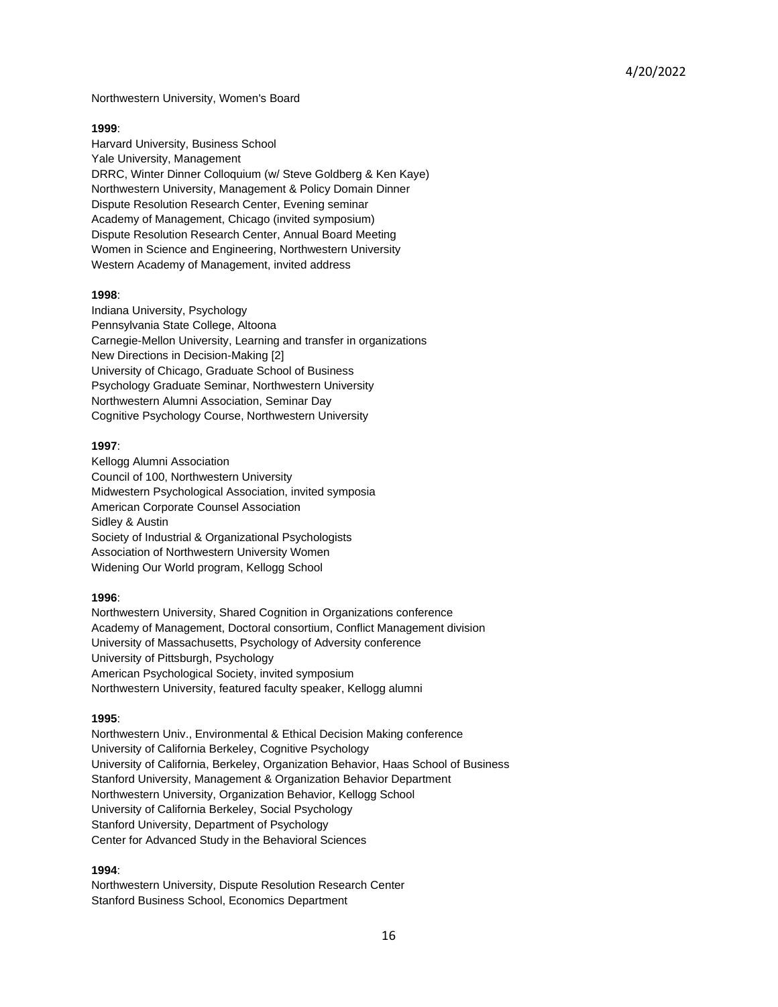Northwestern University, Women's Board

#### **1999**:

Harvard University, Business School Yale University, Management DRRC, Winter Dinner Colloquium (w/ Steve Goldberg & Ken Kaye) Northwestern University, Management & Policy Domain Dinner Dispute Resolution Research Center, Evening seminar Academy of Management, Chicago (invited symposium) Dispute Resolution Research Center, Annual Board Meeting Women in Science and Engineering, Northwestern University Western Academy of Management, invited address

## **1998**:

Indiana University, Psychology Pennsylvania State College, Altoona Carnegie-Mellon University, Learning and transfer in organizations New Directions in Decision-Making [2] University of Chicago, Graduate School of Business Psychology Graduate Seminar, Northwestern University Northwestern Alumni Association, Seminar Day Cognitive Psychology Course, Northwestern University

### **1997**:

Kellogg Alumni Association Council of 100, Northwestern University Midwestern Psychological Association, invited symposia American Corporate Counsel Association Sidley & Austin Society of Industrial & Organizational Psychologists Association of Northwestern University Women Widening Our World program, Kellogg School

## **1996**:

Northwestern University, Shared Cognition in Organizations conference Academy of Management, Doctoral consortium, Conflict Management division University of Massachusetts, Psychology of Adversity conference University of Pittsburgh, Psychology American Psychological Society, invited symposium Northwestern University, featured faculty speaker, Kellogg alumni

## **1995**:

Northwestern Univ., Environmental & Ethical Decision Making conference University of California Berkeley, Cognitive Psychology University of California, Berkeley, Organization Behavior, Haas School of Business Stanford University, Management & Organization Behavior Department Northwestern University, Organization Behavior, Kellogg School University of California Berkeley, Social Psychology Stanford University, Department of Psychology Center for Advanced Study in the Behavioral Sciences

## **1994**:

Northwestern University, Dispute Resolution Research Center Stanford Business School, Economics Department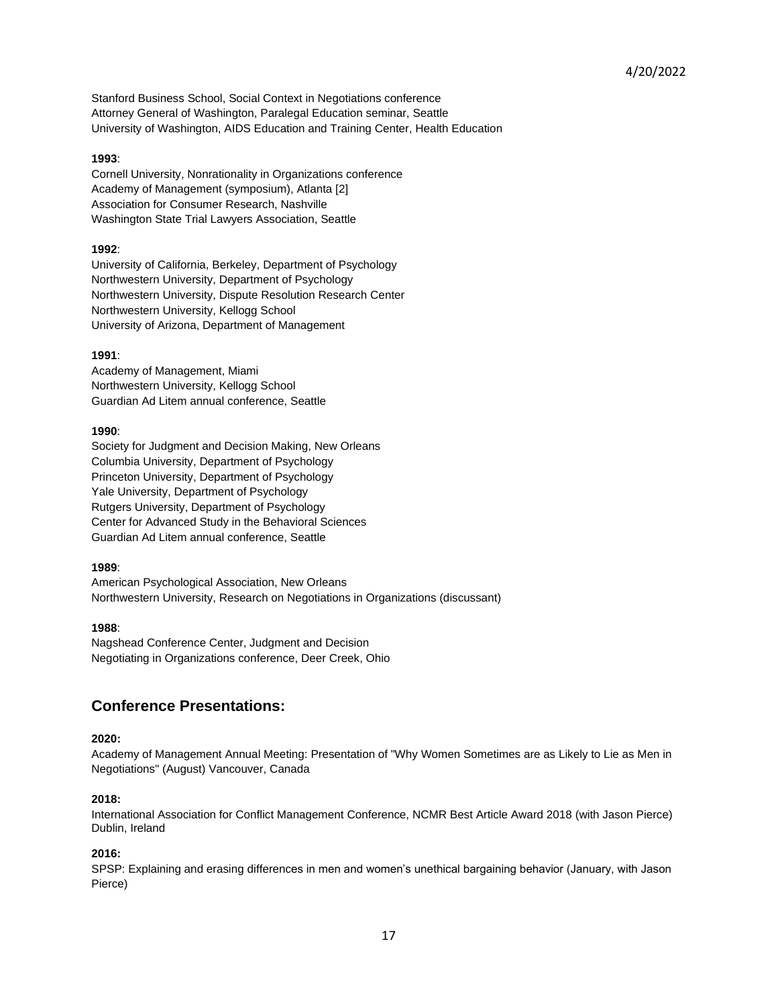Stanford Business School, Social Context in Negotiations conference Attorney General of Washington, Paralegal Education seminar, Seattle University of Washington, AIDS Education and Training Center, Health Education

#### **1993**:

Cornell University, Nonrationality in Organizations conference Academy of Management (symposium), Atlanta [2] Association for Consumer Research, Nashville Washington State Trial Lawyers Association, Seattle

### **1992**:

University of California, Berkeley, Department of Psychology Northwestern University, Department of Psychology Northwestern University, Dispute Resolution Research Center Northwestern University, Kellogg School University of Arizona, Department of Management

### **1991**:

Academy of Management, Miami Northwestern University, Kellogg School Guardian Ad Litem annual conference, Seattle

### **1990**:

Society for Judgment and Decision Making, New Orleans Columbia University, Department of Psychology Princeton University, Department of Psychology Yale University, Department of Psychology Rutgers University, Department of Psychology Center for Advanced Study in the Behavioral Sciences Guardian Ad Litem annual conference, Seattle

#### **1989**:

American Psychological Association, New Orleans Northwestern University, Research on Negotiations in Organizations (discussant)

## **1988**:

Nagshead Conference Center, Judgment and Decision Negotiating in Organizations conference, Deer Creek, Ohio

# **Conference Presentations:**

## **2020:**

Academy of Management Annual Meeting: Presentation of "Why Women Sometimes are as Likely to Lie as Men in Negotiations" (August) Vancouver, Canada

## **2018:**

International Association for Conflict Management Conference, NCMR Best Article Award 2018 (with Jason Pierce) Dublin, Ireland

## **2016:**

SPSP: Explaining and erasing differences in men and women's unethical bargaining behavior (January, with Jason Pierce)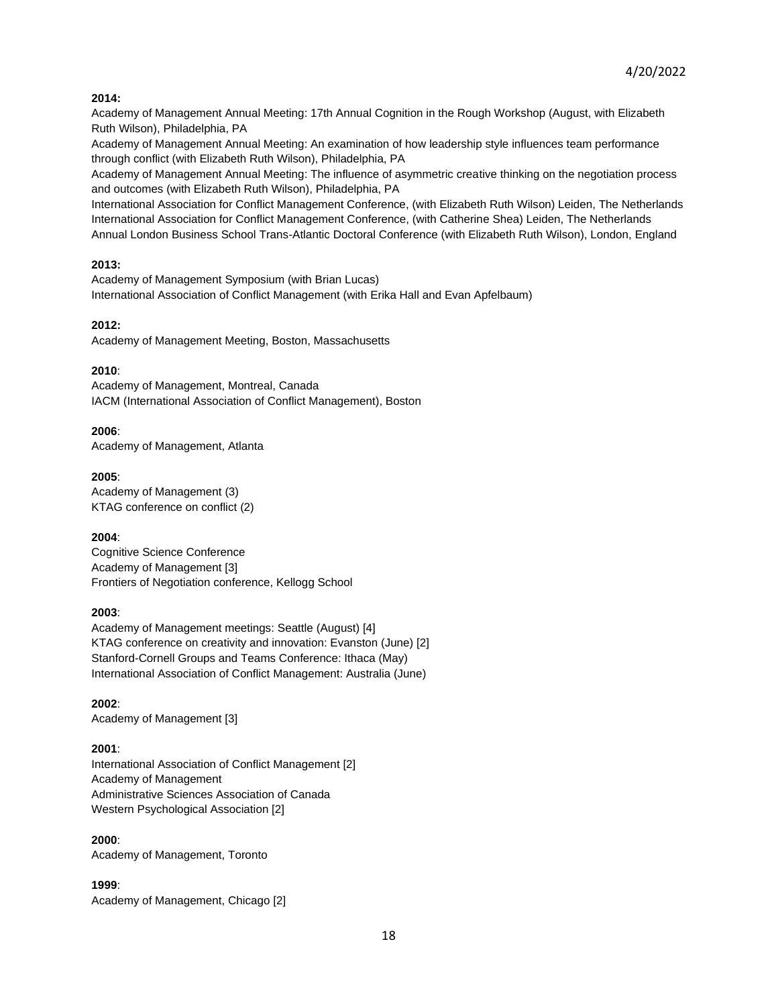## **2014:**

Academy of Management Annual Meeting: 17th Annual Cognition in the Rough Workshop (August, with Elizabeth Ruth Wilson), Philadelphia, PA

Academy of Management Annual Meeting: An examination of how leadership style influences team performance through conflict (with Elizabeth Ruth Wilson), Philadelphia, PA

Academy of Management Annual Meeting: The influence of asymmetric creative thinking on the negotiation process and outcomes (with Elizabeth Ruth Wilson), Philadelphia, PA

International Association for Conflict Management Conference, (with Elizabeth Ruth Wilson) Leiden, The Netherlands International Association for Conflict Management Conference, (with Catherine Shea) Leiden, The Netherlands Annual London Business School Trans-Atlantic Doctoral Conference (with Elizabeth Ruth Wilson), London, England

# **2013:**

Academy of Management Symposium (with Brian Lucas) International Association of Conflict Management (with Erika Hall and Evan Apfelbaum)

# **2012:**

Academy of Management Meeting, Boston, Massachusetts

# **2010**:

Academy of Management, Montreal, Canada IACM (International Association of Conflict Management), Boston

## **2006**:

Academy of Management, Atlanta

## **2005**:

Academy of Management (3) KTAG conference on conflict (2)

## **2004**:

Cognitive Science Conference Academy of Management [3] Frontiers of Negotiation conference, Kellogg School

## **2003**:

Academy of Management meetings: Seattle (August) [4] KTAG conference on creativity and innovation: Evanston (June) [2] Stanford-Cornell Groups and Teams Conference: Ithaca (May) International Association of Conflict Management: Australia (June)

**2002**: Academy of Management [3]

# **2001**:

International Association of Conflict Management [2] Academy of Management Administrative Sciences Association of Canada Western Psychological Association [2]

**2000**: Academy of Management, Toronto

**1999**: Academy of Management, Chicago [2]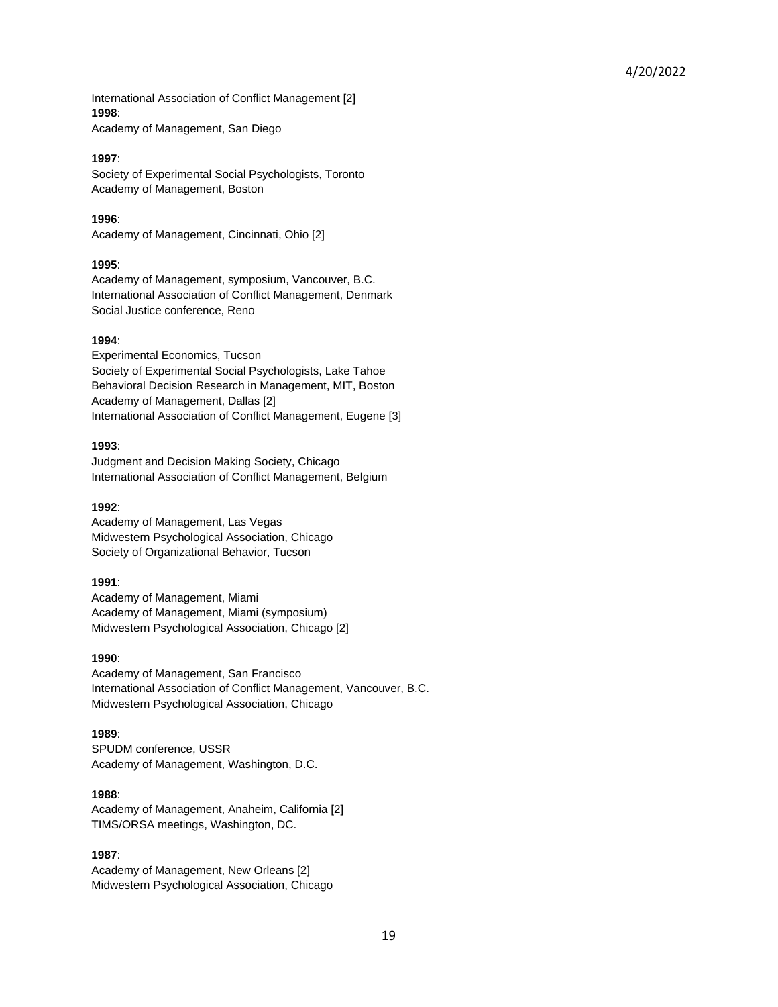International Association of Conflict Management [2] **1998**:

Academy of Management, San Diego

### **1997**:

Society of Experimental Social Psychologists, Toronto Academy of Management, Boston

**1996**: Academy of Management, Cincinnati, Ohio [2]

### **1995**:

Academy of Management, symposium, Vancouver, B.C. International Association of Conflict Management, Denmark Social Justice conference, Reno

### **1994**:

Experimental Economics, Tucson Society of Experimental Social Psychologists, Lake Tahoe Behavioral Decision Research in Management, MIT, Boston Academy of Management, Dallas [2] International Association of Conflict Management, Eugene [3]

### **1993**:

Judgment and Decision Making Society, Chicago International Association of Conflict Management, Belgium

### **1992**:

Academy of Management, Las Vegas Midwestern Psychological Association, Chicago Society of Organizational Behavior, Tucson

## **1991**:

Academy of Management, Miami Academy of Management, Miami (symposium) Midwestern Psychological Association, Chicago [2]

## **1990**:

Academy of Management, San Francisco International Association of Conflict Management, Vancouver, B.C. Midwestern Psychological Association, Chicago

## **1989**:

SPUDM conference, USSR Academy of Management, Washington, D.C.

## **1988**:

Academy of Management, Anaheim, California [2] TIMS/ORSA meetings, Washington, DC.

## **1987**:

Academy of Management, New Orleans [2] Midwestern Psychological Association, Chicago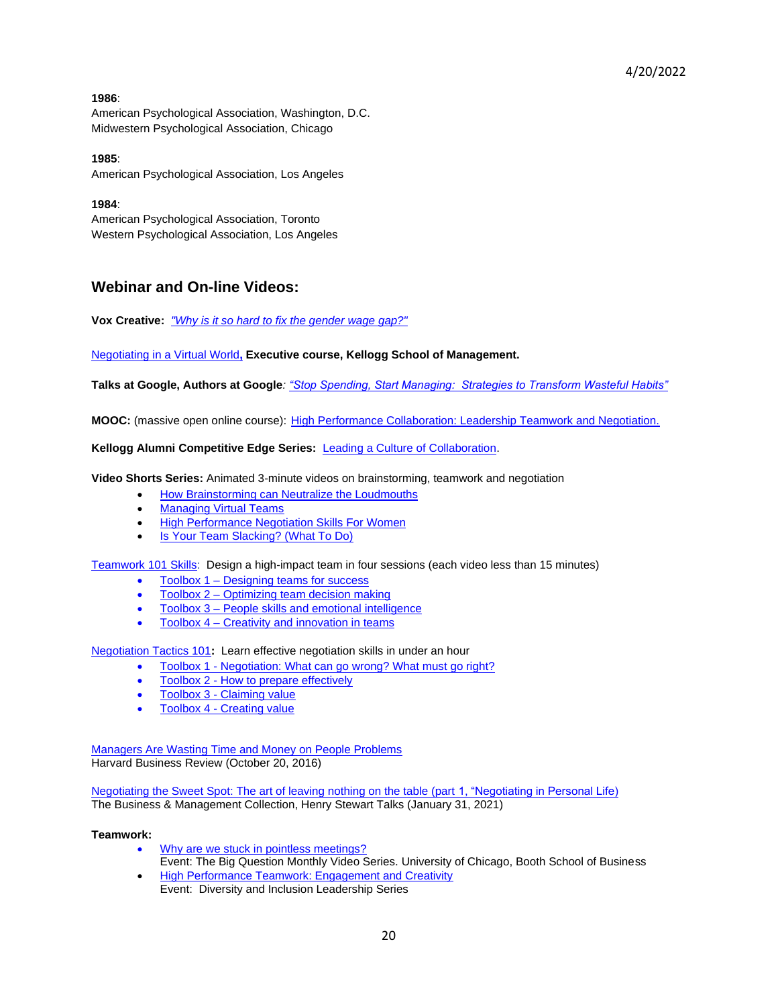## **1986**:

American Psychological Association, Washington, D.C. Midwestern Psychological Association, Chicago

**1985**: American Psychological Association, Los Angeles

# **1984**:

American Psychological Association, Toronto Western Psychological Association, Los Angeles

# **Webinar and On-line Videos:**

**Vox Creative:** *["Why is it so hard to fix the gender wage gap?"](https://www.vox.com/ad/20953671/gender-wage-gap-womens-national-soccer-team-equality)*

# [Negotiating in a Virtual World](https://www.kellogg.northwestern.edu/executive-education/individual-programs/online-programs/nvw.aspx)**, Executive course, Kellogg School of Management.**

**Talks at Google, Authors at Google***: ["Stop Spending, Start Managing: Strategies to Transform Wasteful Habits"](https://www.youtube.com/watch?v=ExpMbC7UAgY&feature=youtu.be)*

**MOOC:** (massive open online course): [High Performance Collaboration: Leadership Teamwork and Negotiation.](https://www.coursera.org/learn/leadership-collaboration)

## **Kellogg Alumni Competitive Edge Series:** [Leading a Culture of Collaboration.](https://urldefense.proofpoint.com/v2/url?u=https-3A__acecloud.webex.com_acecloud_ldr.php-3FRCID-3D04ee70e23a04c7b3f1a95cdd6bb81c07&d=CwMGaQ&c=yHlS04HhBraes5BQ9ueu5zKhE7rtNXt_d012z2PA6ws&r=rmd_clrJl6Y7ixPqi-v8U9XS48TIc3AU9nfDqdHIH2s&m=AZSUYGYZOh-vIBzesmO2j2sOxLKtGZ-4u-hQ5ojJEnU&s=WpRfQlGrWiWT0LYcrFe0ez_H5T3jwsaeTofxcGEDX1U&e=)

**Video Shorts Series:** Animated 3-minute videos on brainstorming, teamwork and negotiation

- [How Brainstorming can Neutralize the Loudmouths](http://www.kellogg.northwestern.edu/news_articles/2014/06262014-video-thompson-brainwriting.aspx)
- [Managing Virtual Teams](http://www.kellogg.northwestern.edu/news_articles/2015/06232015-video-thompson-managing-virtual-teams.aspx)
- [High Performance Negotiation Skills For Women](http://www.kellogg.northwestern.edu/news_articles/2015/05292015-video-thompson-negotiation-women.aspx)
- [Is Your Team Slacking? \(What To Do\)](https://www.kellogg.northwestern.edu/news_articles/2015/05112015-video-thompson-team-slacking.aspx)

[Teamwork](http://www.kellogg.northwestern.edu/news_articles/2014/12202014-teamwork-101.aspx) 101 Skills: Design a high-impact team in four sessions (each video less than 15 minutes)

- Toolbox 1 [Designing teams for success](https://www.kellogg.northwestern.edu/news_articles/2014/12202014-teamwork-101.aspx)
- Toolbox 2 [Optimizing team decision making](https://www.kellogg.northwestern.edu/news_articles/2014/12202014-teamwork-101.aspx)
- Toolbox 3 [People skills and emotional intelligence](https://www.kellogg.northwestern.edu/news_articles/2014/12202014-teamwork-101.aspx)
- Toolbox 4 [Creativity and innovation in teams](https://www.kellogg.northwestern.edu/news_articles/2014/12202014-teamwork-101.aspx)

[Negotiation Tactics 101](http://www.kellogg.northwestern.edu/news_articles/2014/08012014-negotiation-tactics-101.aspx?utm_source=Int-IW-PP&utm_medium=email&utm_campaign=14ELEIPPOT1)**:** Learn effective negotiation skills in under an hour

- Toolbox 1 [Negotiation: What can go wrong? What must go right?](https://www.kellogg.northwestern.edu/news_articles/2014/08012014-negotiation-tactics-101.aspx?utm_source=Int-IW-PP&utm_medium=email&utm_campaign=14ELEIPPOT1)
- Toolbox 2 [How to prepare effectively](https://www.kellogg.northwestern.edu/news_articles/2014/08012014-negotiation-tactics-101.aspx?utm_source=Int-IW-PP&utm_medium=email&utm_campaign=14ELEIPPOT1)
- Toolbox 3 [Claiming value](https://www.kellogg.northwestern.edu/news_articles/2014/08012014-negotiation-tactics-101.aspx?utm_source=Int-IW-PP&utm_medium=email&utm_campaign=14ELEIPPOT1)
- Toolbox 4 [Creating value](https://www.kellogg.northwestern.edu/news_articles/2014/08012014-negotiation-tactics-101.aspx?utm_source=Int-IW-PP&utm_medium=email&utm_campaign=14ELEIPPOT1)

[Managers Are Wasting Time and Money on People Problems](https://hbr.org/video/5178435802001/managers-are-wasting-time-and-money-on-people-problems) Harvard Business Review (October 20, 2016)

[Negotiating the Sweet Spot: The art of leaving nothing on the table \(part 1, "Negotiating in Personal Life\)](https://urldefense.com/v3/__https:/hstalks.com/bm/4481/__;!!Dq0X2DkFhyF93HkjWTBQKhk!F-9KtknSBjX1KyyP6NquukFZnbK54HIenNYQ-EvYljlmCBM193cFbwWVHVDpgtu499Kn3P5D_GFvCM0lwg$) The Business & Management Collection, Henry Stewart Talks (January 31, 2021)

#### **Teamwork:**

- [Why are we stuck in pointless meetings?](http://www.chicagobooth.edu/capideas/video/2015/why-are-we-stuck-in-pointless-meetings?cat=markets&src=Video) Event: The Big Question Monthly Video Series. University of Chicago, Booth School of Business
- [High Performance Teamwork: Engagement and Creativity](http://www.youtube.com/watch?v=8HauOnaiAtw&feature=youtu.be) Event: Diversity and Inclusion Leadership Series